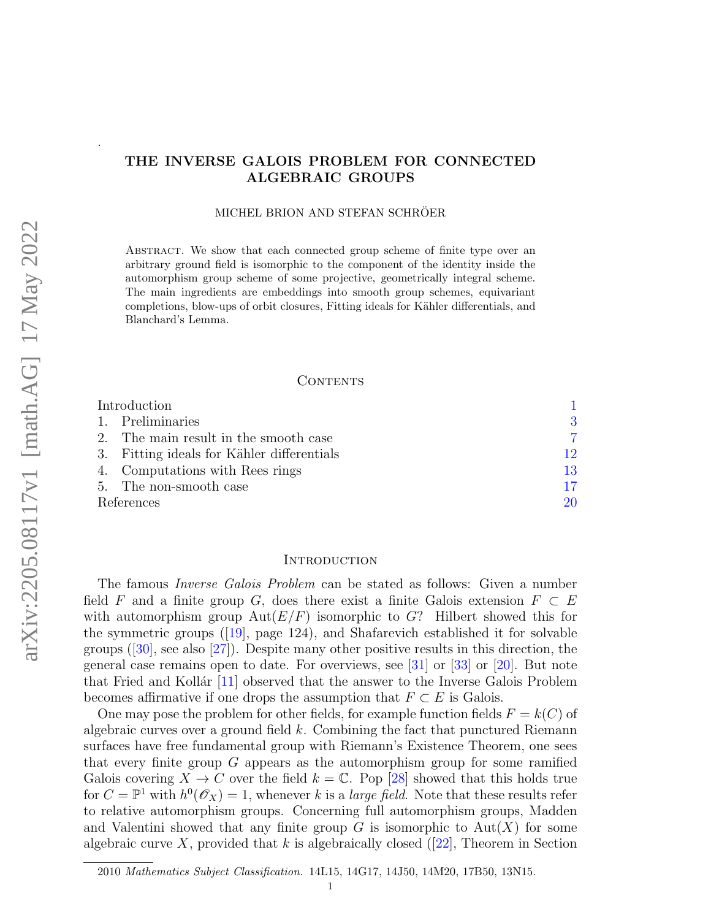# THE INVERSE GALOIS PROBLEM FOR CONNECTED ALGEBRAIC GROUPS

MICHEL BRION AND STEFAN SCHRÖER

Abstract. We show that each connected group scheme of finite type over an arbitrary ground field is isomorphic to the component of the identity inside the automorphism group scheme of some projective, geometrically integral scheme. The main ingredients are embeddings into smooth group schemes, equivariant completions, blow-ups of orbit closures, Fitting ideals for Kähler differentials, and Blanchard's Lemma.

# CONTENTS

| Introduction |                                            |    |
|--------------|--------------------------------------------|----|
|              | 1. Preliminaries                           | 3  |
|              | 2. The main result in the smooth case      | 7  |
|              | 3. Fitting ideals for Kähler differentials | 12 |
|              | 4. Computations with Rees rings            | 13 |
|              | 5. The non-smooth case                     | 17 |
| References   |                                            | 20 |

### <span id="page-0-0"></span>**INTRODUCTION**

The famous Inverse Galois Problem can be stated as follows: Given a number field F and a finite group G, does there exist a finite Galois extension  $F \subset E$ with automorphism group  $Aut(E/F)$  isomorphic to G? Hilbert showed this for the symmetric groups([\[19\]](#page-19-1), page 124), and Shafarevich established it for solvable groups $(|30|,$  see also  $|27|$ ). Despite many other positive results in this direction, the general case remains open to date. For overviews, see [\[31\]](#page-20-1) or [\[33\]](#page-20-2) or [\[20\]](#page-19-3). But note that Fried and Kollár  $[11]$  observed that the answer to the Inverse Galois Problem becomes affirmative if one drops the assumption that  $F \subset E$  is Galois.

One may pose the problem for other fields, for example function fields  $F = k(C)$  of algebraic curves over a ground field k. Combining the fact that punctured Riemann surfaces have free fundamental group with Riemann's Existence Theorem, one sees that every finite group G appears as the automorphism group for some ramified Galois covering  $X \to C$  over the field  $k = \mathbb{C}$ . Pop [\[28\]](#page-19-5) showed that this holds true for  $C = \mathbb{P}^1$  with  $h^0(\mathscr{O}_X) = 1$ , whenever k is a *large field*. Note that these results refer to relative automorphism groups. Concerning full automorphism groups, Madden and Valentini showed that any finite group  $G$  is isomorphic to  $Aut(X)$  for some algebraiccurve X, provided that k is algebraically closed ([\[22\]](#page-19-6), Theorem in Section

.

<sup>2010</sup> Mathematics Subject Classification. 14L15, 14G17, 14J50, 14M20, 17B50, 13N15.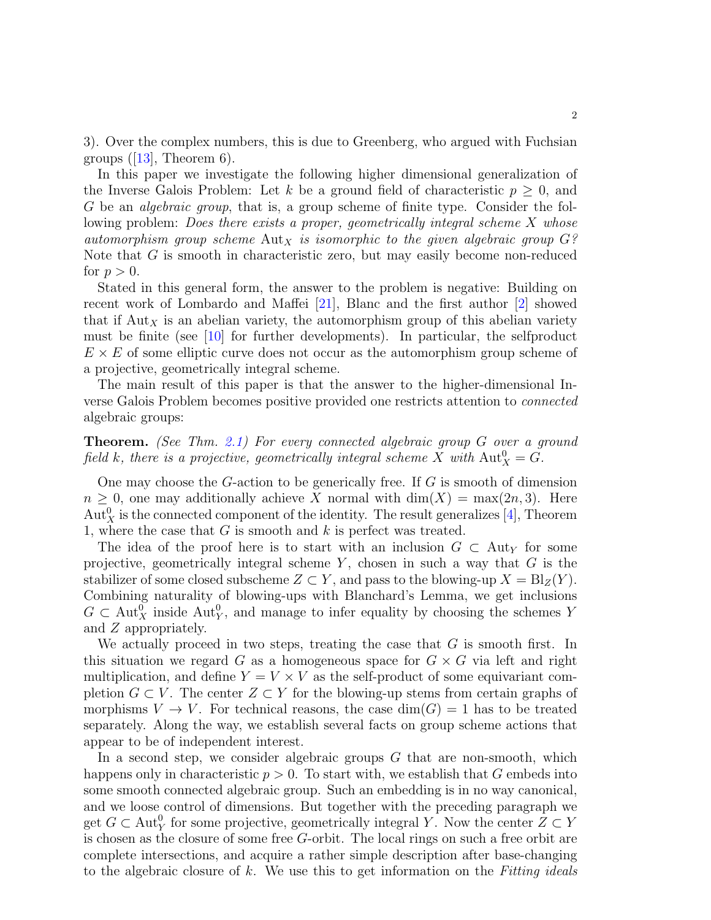3). Over the complex numbers, this is due to Greenberg, who argued with Fuchsian groups $([13],$  $([13],$  $([13],$  Theorem 6).

In this paper we investigate the following higher dimensional generalization of the Inverse Galois Problem: Let k be a ground field of characteristic  $p \geq 0$ , and G be an algebraic group, that is, a group scheme of finite type. Consider the following problem: *Does there exists a proper, geometrically integral scheme X whose* automorphism group scheme  $\text{Aut}_X$  is isomorphic to the given algebraic group  $G$ ? Note that G is smooth in characteristic zero, but may easily become non-reduced for  $p > 0$ .

Stated in this general form, the answer to the problem is negative: Building on recent work of Lombardo and Maffei [\[21\]](#page-19-8), Blanc and the first author [\[2\]](#page-19-9) showed that if  $\text{Aut}_X$  is an abelian variety, the automorphism group of this abelian variety must be finite (see [\[10\]](#page-19-10) for further developments). In particular, the selfproduct  $E \times E$  of some elliptic curve does not occur as the automorphism group scheme of a projective, geometrically integral scheme.

The main result of this paper is that the answer to the higher-dimensional Inverse Galois Problem becomes positive provided one restricts attention to connected algebraic groups:

Theorem. (See Thm. [2.1\)](#page-6-1) For every connected algebraic group G over a ground field k, there is a projective, geometrically integral scheme X with  $\text{Aut}_X^0 = G$ .

One may choose the G-action to be generically free. If G is smooth of dimension  $n \geq 0$ , one may additionally achieve X normal with  $\dim(X) = \max(2n, 3)$ . Here  $\mathrm{Aut}^0_X$  is the connected component of the identity. The result generalizes [\[4\]](#page-19-11), Theorem 1, where the case that  $G$  is smooth and  $k$  is perfect was treated.

The idea of the proof here is to start with an inclusion  $G \subset \text{Aut}_Y$  for some projective, geometrically integral scheme  $Y$ , chosen in such a way that  $G$  is the stabilizer of some closed subscheme  $Z \subset Y$ , and pass to the blowing-up  $X = Bl_Z(Y)$ . Combining naturality of blowing-ups with Blanchard's Lemma, we get inclusions  $G \subset \text{Aut}^0_X$  inside  $\text{Aut}^0_Y$ , and manage to infer equality by choosing the schemes Y and Z appropriately.

We actually proceed in two steps, treating the case that  $G$  is smooth first. In this situation we regard G as a homogeneous space for  $G \times G$  via left and right multiplication, and define  $Y = V \times V$  as the self-product of some equivariant completion  $G \subset V$ . The center  $Z \subset Y$  for the blowing-up stems from certain graphs of morphisms  $V \to V$ . For technical reasons, the case  $\dim(G) = 1$  has to be treated separately. Along the way, we establish several facts on group scheme actions that appear to be of independent interest.

In a second step, we consider algebraic groups G that are non-smooth, which happens only in characteristic  $p > 0$ . To start with, we establish that G embeds into some smooth connected algebraic group. Such an embedding is in no way canonical, and we loose control of dimensions. But together with the preceding paragraph we get  $G \subset \text{Aut}_{Y}^{0}$  for some projective, geometrically integral Y. Now the center  $Z \subset Y$ is chosen as the closure of some free G-orbit. The local rings on such a free orbit are complete intersections, and acquire a rather simple description after base-changing to the algebraic closure of  $k$ . We use this to get information on the Fitting ideals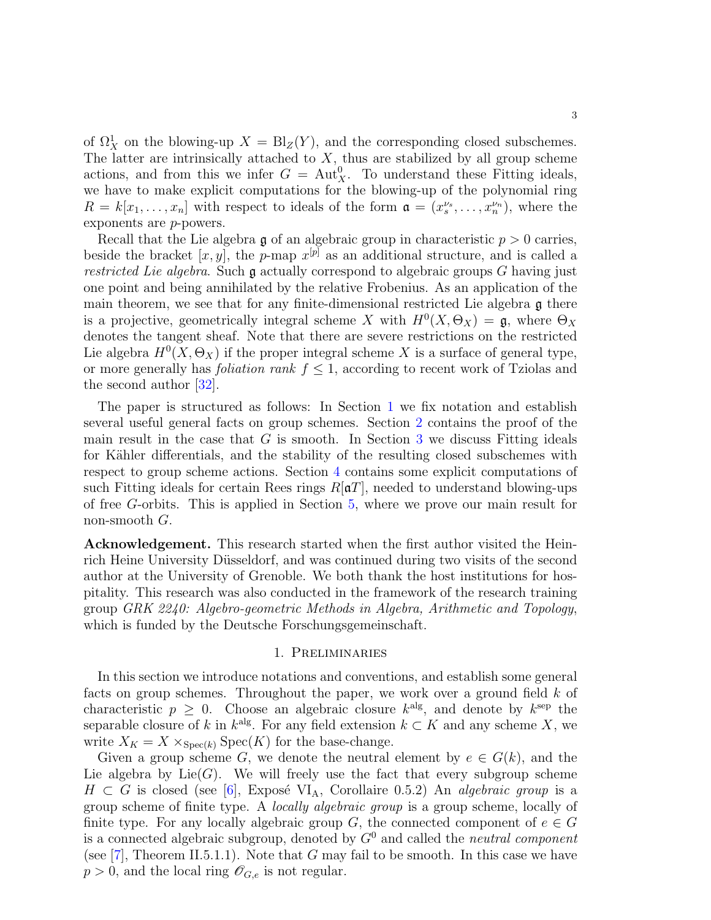of  $\Omega^1_X$  on the blowing-up  $X = Bl_Z(Y)$ , and the corresponding closed subschemes. The latter are intrinsically attached to  $X$ , thus are stabilized by all group scheme actions, and from this we infer  $G = \text{Aut}^0_X$ . To understand these Fitting ideals, we have to make explicit computations for the blowing-up of the polynomial ring  $R = k[x_1, \ldots, x_n]$  with respect to ideals of the form  $\mathfrak{a} = (x_s^{\nu_s}, \ldots, x_n^{\nu_n})$ , where the exponents are p-powers.

Recall that the Lie algebra  $\mathfrak g$  of an algebraic group in characteristic  $p > 0$  carries, beside the bracket  $[x, y]$ , the p-map  $x^{[p]}$  as an additional structure, and is called a restricted Lie algebra. Such  $\mathfrak g$  actually correspond to algebraic groups G having just one point and being annihilated by the relative Frobenius. As an application of the main theorem, we see that for any finite-dimensional restricted Lie algebra  $\mathfrak g$  there is a projective, geometrically integral scheme X with  $H^0(X, \Theta_X) = \mathfrak{g}$ , where  $\Theta_X$ denotes the tangent sheaf. Note that there are severe restrictions on the restricted Lie algebra  $H^0(X, \Theta_X)$  if the proper integral scheme X is a surface of general type, or more generally has *foliation rank*  $f \leq 1$ , according to recent work of Tziolas and the second author  $|32|$ .

The paper is structured as follows: In Section [1](#page-2-0) we fix notation and establish several useful general facts on group schemes. Section [2](#page-6-0) contains the proof of the main result in the case that  $G$  is smooth. In Section [3](#page-11-0) we discuss Fitting ideals for Kähler differentials, and the stability of the resulting closed subschemes with respect to group scheme actions. Section [4](#page-12-0) contains some explicit computations of such Fitting ideals for certain Rees rings  $R[\mathfrak{a}T]$ , needed to understand blowing-ups of free G-orbits. This is applied in Section [5,](#page-16-0) where we prove our main result for non-smooth  $G$ .

Acknowledgement. This research started when the first author visited the Heinrich Heine University Düsseldorf, and was continued during two visits of the second author at the University of Grenoble. We both thank the host institutions for hospitality. This research was also conducted in the framework of the research training group GRK 2240: Algebro-geometric Methods in Algebra, Arithmetic and Topology, which is funded by the Deutsche Forschungsgemeinschaft.

#### 1. Preliminaries

<span id="page-2-0"></span>In this section we introduce notations and conventions, and establish some general facts on group schemes. Throughout the paper, we work over a ground field k of characteristic  $p \geq 0$ . Choose an algebraic closure  $k^{\text{alg}}$ , and denote by  $k^{\text{sep}}$  the separable closure of k in  $k^{alg}$ . For any field extension  $k \subset K$  and any scheme X, we write  $X_K = X \times_{Spec(k)} Spec(K)$  for the base-change.

Given a group scheme G, we denote the neutral element by  $e \in G(k)$ , and the Lie algebra by  $Lie(G)$ . We will freely use the fact that every subgroup scheme  $H \subset G$  is closed (see [\[6\]](#page-19-12), Exposé VI<sub>A</sub>, Corollaire 0.5.2) An *algebraic group* is a group scheme of finite type. A locally algebraic group is a group scheme, locally of finite type. For any locally algebraic group G, the connected component of  $e \in G$ is a connected algebraic subgroup, denoted by  $G^0$  and called the *neutral component* (see  $[7]$ , Theorem II.5.1.1). Note that G may fail to be smooth. In this case we have  $p > 0$ , and the local ring  $\mathscr{O}_{G,e}$  is not regular.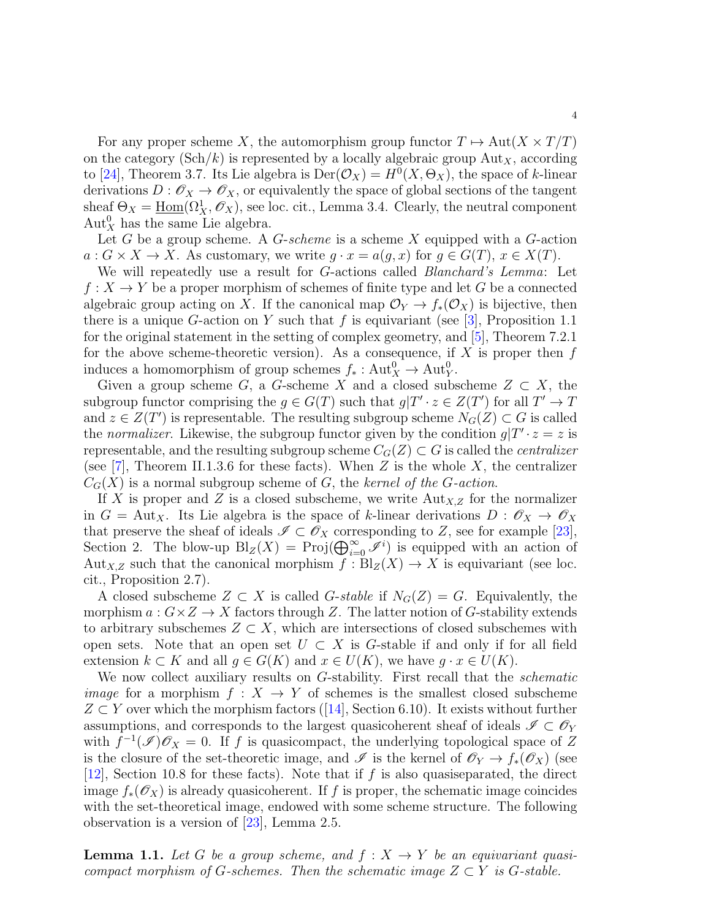For any proper scheme X, the automorphism group functor  $T \mapsto Aut(X \times T/T)$ on the category  $(\text{Sch}/k)$  is represented by a locally algebraic group  $\text{Aut}_X$ , according to [\[24\]](#page-19-14), Theorem 3.7. Its Lie algebra is  $Der(\mathcal{O}_X) = H^0(X, \Theta_X)$ , the space of k-linear derivations  $D: \mathscr{O}_X \to \mathscr{O}_X$ , or equivalently the space of global sections of the tangent sheaf  $\Theta_X = \underline{\text{Hom}}(\Omega^1_X, \mathscr{O}_X)$ , see loc. cit., Lemma 3.4. Clearly, the neutral component  $\text{Aut}_X^0$  has the same Lie algebra.

Let G be a group scheme. A  $G$ -scheme is a scheme X equipped with a  $G$ -action  $a: G \times X \to X$ . As customary, we write  $q \cdot x = a(q, x)$  for  $q \in G(T)$ ,  $x \in X(T)$ .

We will repeatedly use a result for G-actions called *Blanchard's Lemma*: Let  $f: X \to Y$  be a proper morphism of schemes of finite type and let G be a connected algebraic group acting on X. If the canonical map  $\mathcal{O}_Y \to f_*(\mathcal{O}_X)$  is bijective, then there is a unique G-action on Y such that f is equivariant (see [\[3\]](#page-19-15), Proposition 1.1 for the original statement in the setting of complex geometry, and [\[5\]](#page-19-16), Theorem 7.2.1 for the above scheme-theoretic version). As a consequence, if X is proper then  $f$ induces a homomorphism of group schemes  $f_*: Aut_X^0 \to Aut_Y^0$ .

Given a group scheme G, a G-scheme X and a closed subscheme  $Z \subset X$ , the subgroup functor comprising the  $g \in G(T)$  such that  $g|T' \cdot z \in Z(T')$  for all  $T' \to T$ and  $z \in Z(T')$  is representable. The resulting subgroup scheme  $N_G(Z) \subset G$  is called the normalizer. Likewise, the subgroup functor given by the condition  $g|T' \cdot z = z$  is representable, and the resulting subgroup scheme  $C_G(Z) \subset G$  is called the *centralizer* (see [\[7\]](#page-19-13), Theorem II.1.3.6 for these facts). When Z is the whole X, the centralizer  $C_G(X)$  is a normal subgroup scheme of G, the kernel of the G-action.

If X is proper and Z is a closed subscheme, we write  $\text{Aut}_{X,Z}$  for the normalizer in  $G = \text{Aut}_X$ . Its Lie algebra is the space of k-linear derivations  $D : \mathscr{O}_X \to \mathscr{O}_X$ that preserve the sheaf of ideals  $\mathscr{I} \subset \mathscr{O}_X$  corresponding to Z, see for example [\[23\]](#page-19-17), Section 2. The blow-up  $\text{Bl}_Z(X) = \text{Proj}(\bigoplus_{i=0}^{\infty} \mathscr{I}^i)$  is equipped with an action of Aut<sub>X,Z</sub> such that the canonical morphism  $f : Bl_Z(X) \to X$  is equivariant (see loc. cit., Proposition 2.7).

A closed subscheme  $Z \subset X$  is called G-stable if  $N_G(Z) = G$ . Equivalently, the morphism  $a: G \times Z \to X$  factors through Z. The latter notion of G-stability extends to arbitrary subschemes  $Z \subset X$ , which are intersections of closed subschemes with open sets. Note that an open set  $U \subset X$  is G-stable if and only if for all field extension  $k \subset K$  and all  $g \in G(K)$  and  $x \in U(K)$ , we have  $g \cdot x \in U(K)$ .

We now collect auxiliary results on G-stability. First recall that the *schematic image* for a morphism  $f : X \to Y$  of schemes is the smallest closed subscheme  $Z \subset Y$  $Z \subset Y$  $Z \subset Y$  over which the morphism factors ([\[14\]](#page-19-18), Section 6.10). It exists without further assumptions, and corresponds to the largest quasicoherent sheaf of ideals  $\mathscr{I} \subset \mathscr{O}_Y$ with  $f^{-1}(\mathscr{I})\mathscr{O}_X=0$ . If f is quasicompact, the underlying topological space of Z is the closure of the set-theoretic image, and  $\mathscr I$  is the kernel of  $\mathscr O_Y \to f_*(\mathscr O_X)$  (see [\[12\]](#page-19-19), Section 10.8 for these facts). Note that if f is also quasiseparated, the direct image  $f_*(\mathscr{O}_X)$  is already quasicoherent. If f is proper, the schematic image coincides with the set-theoretical image, endowed with some scheme structure. The following observation is a version of [\[23\]](#page-19-17), Lemma 2.5.

<span id="page-3-0"></span>**Lemma 1.1.** Let G be a group scheme, and  $f: X \rightarrow Y$  be an equivariant quasicompact morphism of G-schemes. Then the schematic image  $Z \subset Y$  is G-stable.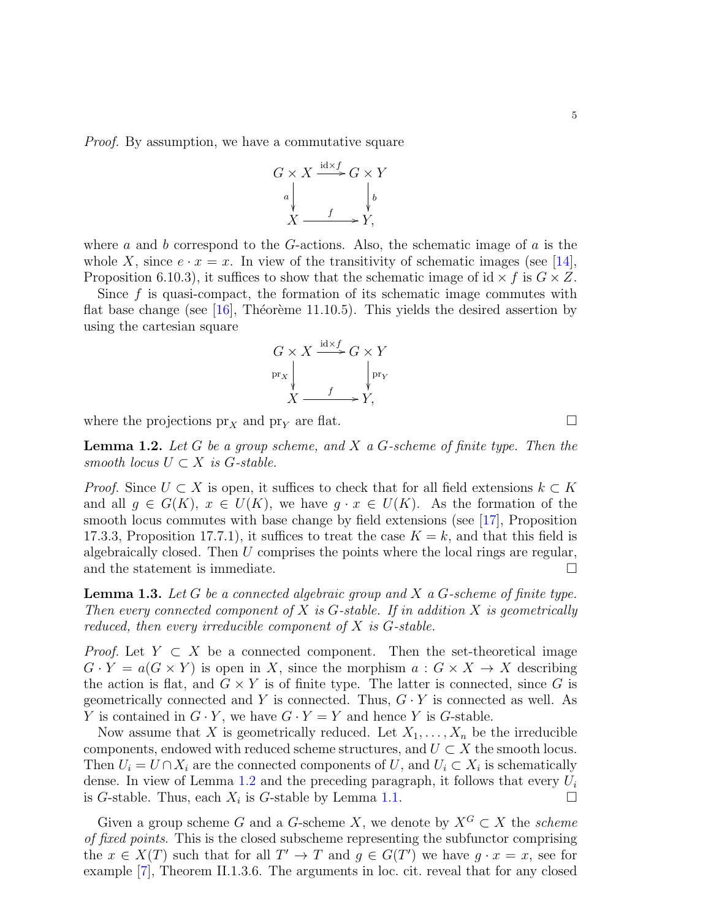5

*Proof.* By assumption, we have a commutative square

$$
G \times X \xrightarrow{\text{id} \times f} G \times Y
$$
  
\n
$$
a \downarrow \qquad \qquad \downarrow b
$$
  
\n
$$
X \xrightarrow{f} Y,
$$

where a and b correspond to the G-actions. Also, the schematic image of a is the whole X, since  $e \cdot x = x$ . In view of the transitivity of schematic images (see [\[14\]](#page-19-18), Proposition 6.10.3), it suffices to show that the schematic image of id  $\times f$  is  $G \times Z$ .

Since  $f$  is quasi-compact, the formation of its schematic image commutes with flat base change (see [\[16\]](#page-19-20), Théorème 11.10.5). This yields the desired assertion by using the cartesian square

$$
G \times X \xrightarrow{\text{id} \times f} G \times Y
$$
  
\n
$$
\text{pr}_X \downarrow \qquad \qquad \downarrow \text{pr}_Y
$$
  
\n
$$
X \xrightarrow{f} Y,
$$

where the projections  $pr_X$  and  $pr_Y$  are flat.

<span id="page-4-0"></span>**Lemma 1.2.** Let G be a group scheme, and X a G-scheme of finite type. Then the smooth locus  $U \subset X$  is G-stable.

*Proof.* Since  $U \subset X$  is open, it suffices to check that for all field extensions  $k \subset K$ and all  $g \in G(K)$ ,  $x \in U(K)$ , we have  $g \cdot x \in U(K)$ . As the formation of the smooth locus commutes with base change by field extensions (see [\[17\]](#page-19-21), Proposition 17.3.3, Proposition 17.7.1), it suffices to treat the case  $K = k$ , and that this field is algebraically closed. Then  $U$  comprises the points where the local rings are regular, and the statement is immediate.  $\Box$ 

<span id="page-4-1"></span>**Lemma 1.3.** Let G be a connected algebraic group and X a G-scheme of finite type. Then every connected component of X is  $G$ -stable. If in addition X is geometrically reduced, then every irreducible component of  $X$  is  $G$ -stable.

*Proof.* Let  $Y \subset X$  be a connected component. Then the set-theoretical image  $G \cdot Y = a(G \times Y)$  is open in X, since the morphism  $a: G \times X \to X$  describing the action is flat, and  $G \times Y$  is of finite type. The latter is connected, since G is geometrically connected and Y is connected. Thus,  $G \cdot Y$  is connected as well. As Y is contained in  $G \cdot Y$ , we have  $G \cdot Y = Y$  and hence Y is G-stable.

Now assume that X is geometrically reduced. Let  $X_1, \ldots, X_n$  be the irreducible components, endowed with reduced scheme structures, and  $U \subset X$  the smooth locus. Then  $U_i = U \cap X_i$  are the connected components of U, and  $U_i \subset X_i$  is schematically dense. In view of Lemma [1.2](#page-4-0) and the preceding paragraph, it follows that every  $U_i$ is G-stable. Thus, each  $X_i$  is G-stable by Lemma [1.1.](#page-3-0)

Given a group scheme G and a G-scheme X, we denote by  $X^G \subset X$  the scheme of fixed points. This is the closed subscheme representing the subfunctor comprising the  $x \in X(T)$  such that for all  $T' \to T$  and  $g \in G(T')$  we have  $g \cdot x = x$ , see for example [\[7\]](#page-19-13), Theorem II.1.3.6. The arguments in loc. cit. reveal that for any closed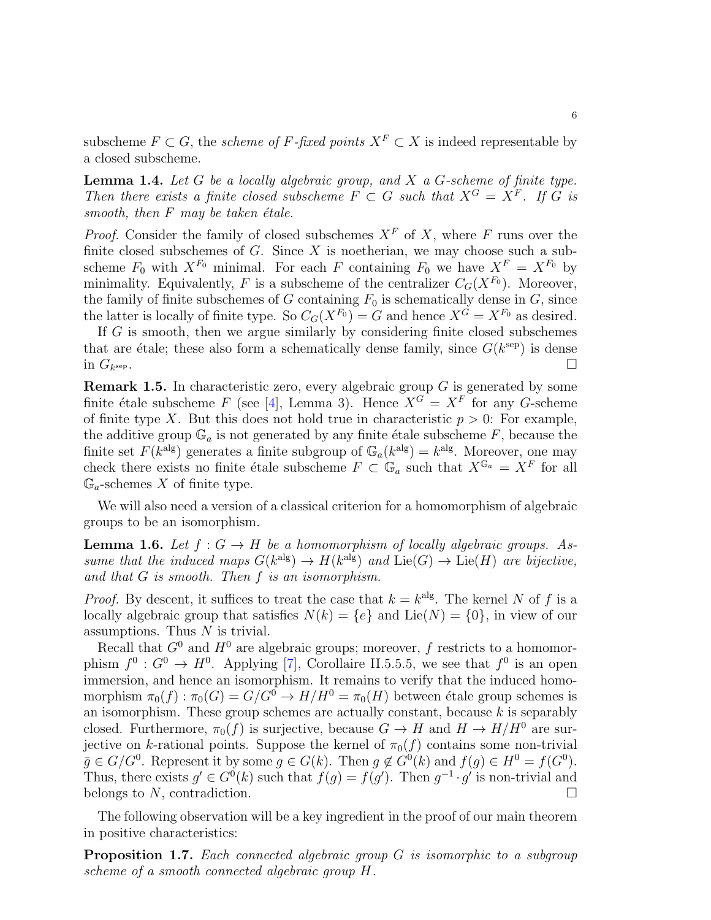subscheme  $F \subset G$ , the *scheme of F-fixed points*  $X^F \subset X$  is indeed representable by a closed subscheme.

<span id="page-5-1"></span>**Lemma 1.4.** Let  $G$  be a locally algebraic group, and  $X$  a  $G$ -scheme of finite type. Then there exists a finite closed subscheme  $F \subset G$  such that  $X^G = X^F$ . If G is smooth, then  $F$  may be taken étale.

*Proof.* Consider the family of closed subschemes  $X^F$  of X, where F runs over the finite closed subschemes of  $G$ . Since  $X$  is noetherian, we may choose such a subscheme  $F_0$  with  $X^{F_0}$  minimal. For each F containing  $F_0$  we have  $X^F = X^{F_0}$  by minimality. Equivalently, F is a subscheme of the centralizer  $C_G(X^{F_0})$ . Moreover, the family of finite subschemes of  $G$  containing  $F_0$  is schematically dense in  $G$ , since the latter is locally of finite type. So  $C_G(X^{F_0}) = G$  and hence  $X^{\overline{G}} = X^{F_0}$  as desired.

If  $G$  is smooth, then we argue similarly by considering finite closed subschemes that are étale; these also form a schematically dense family, since  $G(k^{\text{sep}})$  is dense in  $G_{k^{\text{sep}}}$ . sep.

**Remark 1.5.** In characteristic zero, every algebraic group  $G$  is generated by some finite étale subscheme F (see [\[4\]](#page-19-11), Lemma 3). Hence  $X^G = X^F$  for any G-scheme of finite type X. But this does not hold true in characteristic  $p > 0$ : For example, the additive group  $\mathbb{G}_a$  is not generated by any finite étale subscheme F, because the finite set  $F(k^{\text{alg}})$  generates a finite subgroup of  $\mathbb{G}_a(k^{\text{alg}}) = k^{\text{alg}}$ . Moreover, one may check there exists no finite étale subscheme  $F \subset \mathbb{G}_a$  such that  $X^{\mathbb{G}_a} = X^F$  for all  $\mathbb{G}_a$ -schemes X of finite type.

We will also need a version of a classical criterion for a homomorphism of algebraic groups to be an isomorphism.

<span id="page-5-0"></span>**Lemma 1.6.** Let  $f : G \to H$  be a homomorphism of locally algebraic groups. Assume that the induced maps  $G(k^{\text{alg}}) \to H(k^{\text{alg}})$  and  $\text{Lie}(G) \to \text{Lie}(H)$  are bijective, and that G is smooth. Then f is an isomorphism.

*Proof.* By descent, it suffices to treat the case that  $k = k^{\text{alg}}$ . The kernel N of f is a locally algebraic group that satisfies  $N(k) = \{e\}$  and Lie(N) =  $\{0\}$ , in view of our assumptions. Thus  $N$  is trivial.

Recall that  $G^0$  and  $H^0$  are algebraic groups; moreover, f restricts to a homomorphism  $f^0: G^0 \to H^0$ . Applying [\[7\]](#page-19-13), Corollaire II.5.5.5, we see that  $f^0$  is an open immersion, and hence an isomorphism. It remains to verify that the induced homomorphism  $\pi_0(f) : \pi_0(G) = G/G^0 \to H/H^0 = \pi_0(H)$  between étale group schemes is an isomorphism. These group schemes are actually constant, because  $k$  is separably closed. Furthermore,  $\pi_0(f)$  is surjective, because  $G \to H$  and  $H \to H/H^0$  are surjective on k-rational points. Suppose the kernel of  $\pi_0(f)$  contains some non-trivial  $\bar{g} \in G/G^0$ . Represent it by some  $g \in G(k)$ . Then  $g \notin G^0(k)$  and  $f(g) \in H^0 = f(G^0)$ . Thus, there exists  $g' \in G^{0}(k)$  such that  $f(g) = f(g')$ . Then  $g^{-1} \cdot g'$  is non-trivial and belongs to N, contradiction.

The following observation will be a key ingredient in the proof of our main theorem in positive characteristics:

<span id="page-5-2"></span>**Proposition 1.7.** Each connected algebraic group G is isomorphic to a subgroup scheme of a smooth connected algebraic group H.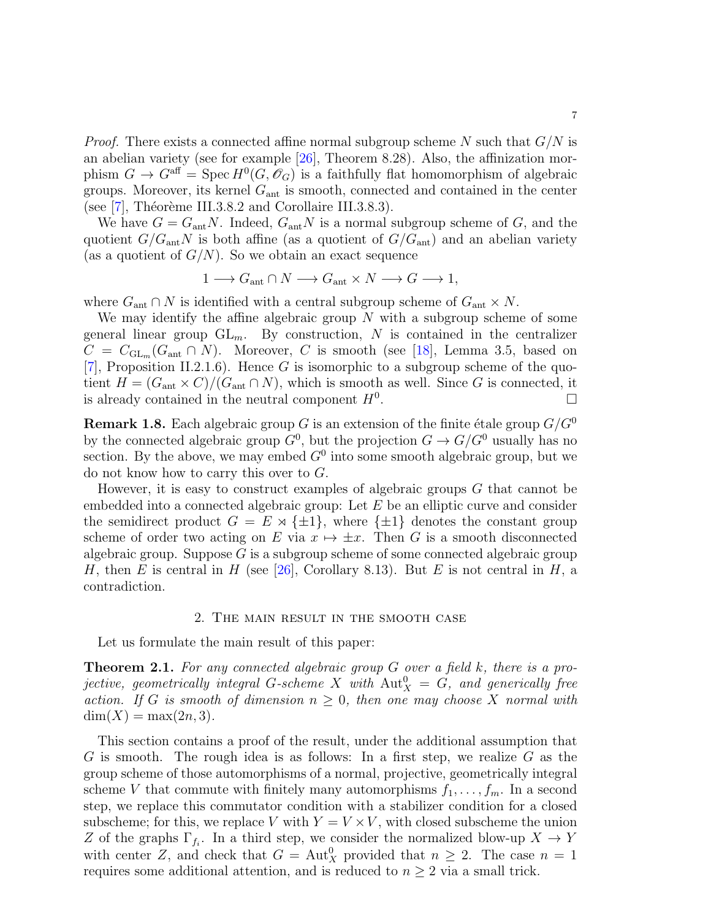*Proof.* There exists a connected affine normal subgroup scheme N such that  $G/N$  is an abelian variety (see for example [\[26\]](#page-19-22), Theorem 8.28). Also, the affinization morphism  $G \to G^{\text{aff}} = \text{Spec } H^0(G, \mathscr{O}_G)$  is a faithfully flat homomorphism of algebraic groups. Moreover, its kernel  $G_{\text{ant}}$  is smooth, connected and contained in the center (see  $[7]$ , Théorème III.3.8.2 and Corollaire III.3.8.3).

We have  $G = G_{\text{ant}}N$ . Indeed,  $G_{\text{ant}}N$  is a normal subgroup scheme of G, and the quotient  $G/G_{\text{ant}}N$  is both affine (as a quotient of  $G/G_{\text{ant}}$ ) and an abelian variety (as a quotient of  $G/N$ ). So we obtain an exact sequence

$$
1 \longrightarrow G_{\text{ant}} \cap N \longrightarrow G_{\text{ant}} \times N \longrightarrow G \longrightarrow 1,
$$

where  $G_{\text{ant}} \cap N$  is identified with a central subgroup scheme of  $G_{\text{ant}} \times N$ .

We may identify the affine algebraic group  $N$  with a subgroup scheme of some general linear group  $GL_m$ . By construction, N is contained in the centralizer  $C = C_{GL_m}(G_{\text{ant}} \cap N)$ . Moreover, C is smooth (see [\[18\]](#page-19-23), Lemma 3.5, based on [\[7\]](#page-19-13), Proposition II.2.1.6). Hence G is isomorphic to a subgroup scheme of the quotient  $H = (G<sub>ant</sub> × C)/(G<sub>ant</sub> ∩ N)$ , which is smooth as well. Since G is connected, it is already contained in the neutral component  $H^0$ . .

**Remark 1.8.** Each algebraic group G is an extension of the finite étale group  $G/G^0$ by the connected algebraic group  $G^0$ , but the projection  $G \to G/G^0$  usually has no section. By the above, we may embed  $G^0$  into some smooth algebraic group, but we do not know how to carry this over to G.

However, it is easy to construct examples of algebraic groups  $G$  that cannot be embedded into a connected algebraic group: Let E be an elliptic curve and consider the semidirect product  $G = E \rtimes {\pm 1}$ , where  ${\pm 1}$  denotes the constant group scheme of order two acting on E via  $x \mapsto \pm x$ . Then G is a smooth disconnected algebraic group. Suppose  $G$  is a subgroup scheme of some connected algebraic group H, then E is central in H (see [\[26\]](#page-19-22), Corollary 8.13). But E is not central in H, a contradiction.

#### 2. The main result in the smooth case

<span id="page-6-0"></span>Let us formulate the main result of this paper:

<span id="page-6-1"></span>**Theorem 2.1.** For any connected algebraic group  $G$  over a field k, there is a projective, geometrically integral G-scheme X with  $\mathrm{Aut}^0_X \ = \ G$ , and generically free action. If G is smooth of dimension  $n \geq 0$ , then one may choose X normal with  $dim(X) = max(2n, 3).$ 

This section contains a proof of the result, under the additional assumption that G is smooth. The rough idea is as follows: In a first step, we realize G as the group scheme of those automorphisms of a normal, projective, geometrically integral scheme V that commute with finitely many automorphisms  $f_1, \ldots, f_m$ . In a second step, we replace this commutator condition with a stabilizer condition for a closed subscheme; for this, we replace V with  $Y = V \times V$ , with closed subscheme the union Z of the graphs  $\Gamma_{f_i}$ . In a third step, we consider the normalized blow-up  $X \to Y$ with center Z, and check that  $G = \text{Aut}_X^0$  provided that  $n \geq 2$ . The case  $n = 1$ requires some additional attention, and is reduced to  $n \geq 2$  via a small trick.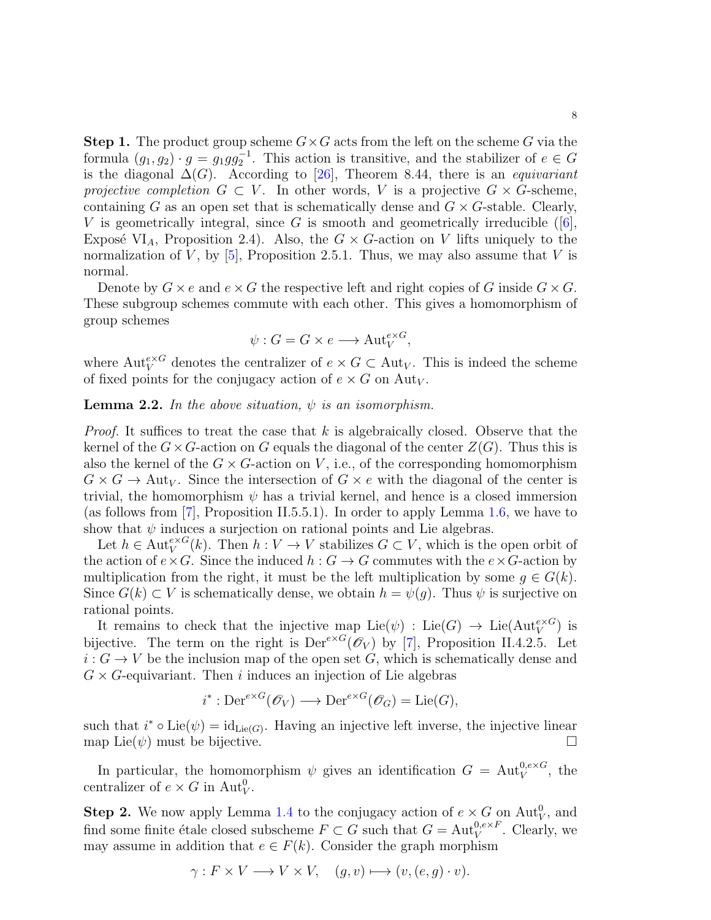**Step 1.** The product group scheme  $G \times G$  acts from the left on the scheme G via the formula  $(g_1, g_2) \cdot g = g_1 g g_2^{-1}$ . This action is transitive, and the stabilizer of  $e \in G$ is the diagonal  $\Delta(G)$ . According to [\[26\]](#page-19-22), Theorem 8.44, there is an *equivariant* projective completion  $G \subset V$ . In other words, V is a projective  $G \times G$ -scheme, containing G as an open set that is schematically dense and  $G \times G$ -stable. Clearly, Vis geometrically integral, since G is smooth and geometrically irreducible  $(6, 6)$ , Exposé VI<sub>A</sub>, Proposition 2.4). Also, the  $G \times G$ -action on V lifts uniquely to the normalization of V, by  $[5]$ , Proposition 2.5.1. Thus, we may also assume that V is normal.

Denote by  $G \times e$  and  $e \times G$  the respective left and right copies of G inside  $G \times G$ . These subgroup schemes commute with each other. This gives a homomorphism of group schemes

$$
\psi : G = G \times e \longrightarrow \text{Aut}_{V}^{e \times G},
$$

where  $\mathrm{Aut}_V^{e\times G}$  denotes the centralizer of  $e \times G \subset \mathrm{Aut}_V$ . This is indeed the scheme of fixed points for the conjugacy action of  $e \times G$  on Aut<sub>V</sub>.

**Lemma 2.2.** In the above situation,  $\psi$  is an isomorphism.

*Proof.* It suffices to treat the case that k is algebraically closed. Observe that the kernel of the  $G \times G$ -action on G equals the diagonal of the center  $Z(G)$ . Thus this is also the kernel of the  $G \times G$ -action on V, i.e., of the corresponding homomorphism  $G \times G \to \text{Aut}_V$ . Since the intersection of  $G \times e$  with the diagonal of the center is trivial, the homomorphism  $\psi$  has a trivial kernel, and hence is a closed immersion (as follows from [\[7\]](#page-19-13), Proposition II.5.5.1). In order to apply Lemma [1.6,](#page-5-0) we have to show that  $\psi$  induces a surjection on rational points and Lie algebras.

Let  $h \in \text{Aut}_V^{e \times G}(k)$ . Then  $h : V \to V$  stabilizes  $G \subset V$ , which is the open orbit of the action of  $e \times G$ . Since the induced  $h : G \to G$  commutes with the  $e \times G$ -action by multiplication from the right, it must be the left multiplication by some  $q \in G(k)$ . Since  $G(k) \subset V$  is schematically dense, we obtain  $h = \psi(g)$ . Thus  $\psi$  is surjective on rational points.

It remains to check that the injective map  $\text{Lie}(\psi)$ :  $\text{Lie}(G) \to \text{Lie}(\text{Aut}_V^{e \times G})$  is bijective. The term on the right is  $Der^{e\times G}(\mathscr{O}_V)$  by [\[7\]](#page-19-13), Proposition II.4.2.5. Let  $i: G \to V$  be the inclusion map of the open set G, which is schematically dense and  $G \times G$ -equivariant. Then i induces an injection of Lie algebras

$$
i^* : \mathrm{Der}^{e \times G}(\mathscr{O}_V) \longrightarrow \mathrm{Der}^{e \times G}(\mathscr{O}_G) = \mathrm{Lie}(G),
$$

such that  $i^* \circ \text{Lie}(\psi) = \text{id}_{\text{Lie}(G)}$ . Having an injective left inverse, the injective linear map Lie( $\psi$ ) must be bijective.

In particular, the homomorphism  $\psi$  gives an identification  $G = \text{Aut}_{V}^{0, e \times G}$ , the centralizer of  $e \times G$  in  $\text{Aut}_{V}^{0}$ .

**Step 2.** We now apply Lemma [1.4](#page-5-1) to the conjugacy action of  $e \times G$  on Aut<sub>V</sub>, and find some finite étale closed subscheme  $F \subset G$  such that  $G = \text{Aut}_{V}^{0,e \times F}$ . Clearly, we may assume in addition that  $e \in F(k)$ . Consider the graph morphism

$$
\gamma: F \times V \longrightarrow V \times V, \quad (g, v) \longmapsto (v, (e, g) \cdot v).
$$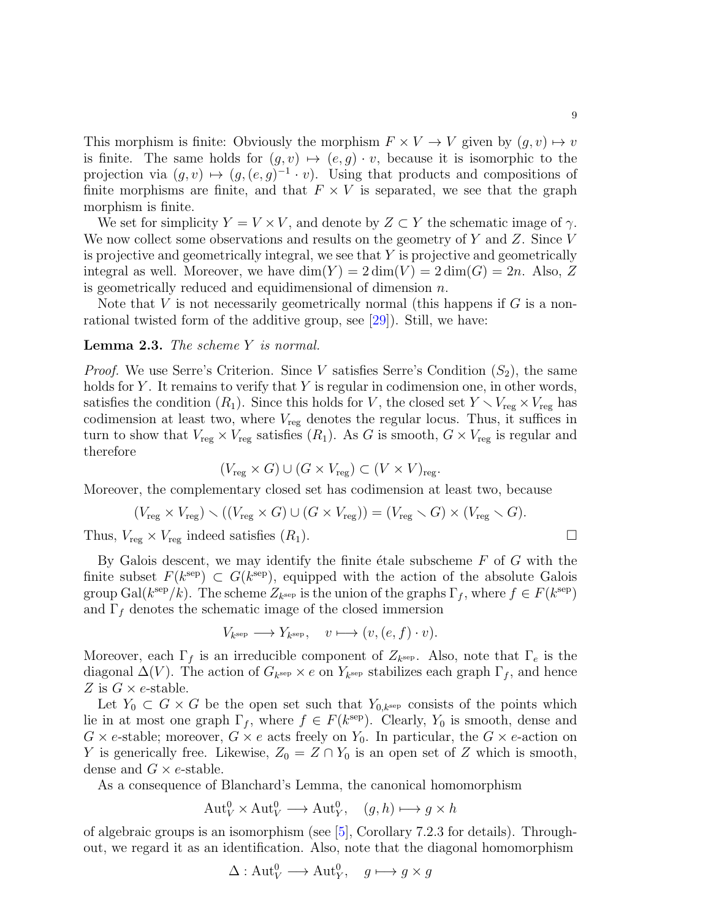This morphism is finite: Obviously the morphism  $F \times V \to V$  given by  $(g, v) \mapsto v$ is finite. The same holds for  $(g, v) \mapsto (e, g) \cdot v$ , because it is isomorphic to the projection via  $(g, v) \mapsto (g, (e, g)^{-1} \cdot v)$ . Using that products and compositions of finite morphisms are finite, and that  $F \times V$  is separated, we see that the graph morphism is finite.

We set for simplicity  $Y = V \times V$ , and denote by  $Z \subset Y$  the schematic image of  $\gamma$ . We now collect some observations and results on the geometry of  $Y$  and  $Z$ . Since  $V$ is projective and geometrically integral, we see that  $Y$  is projective and geometrically integral as well. Moreover, we have  $\dim(Y) = 2 \dim(V) = 2 \dim(G) = 2n$ . Also, Z is geometrically reduced and equidimensional of dimension n.

Note that  $V$  is not necessarily geometrically normal (this happens if  $G$  is a nonrational twisted form of the additive group, see [\[29\]](#page-20-4)). Still, we have:

# <span id="page-8-0"></span>Lemma 2.3. The scheme Y is normal.

*Proof.* We use Serre's Criterion. Since V satisfies Serre's Condition  $(S_2)$ , the same holds for  $Y$ . It remains to verify that  $Y$  is regular in codimension one, in other words, satisfies the condition  $(R_1)$ . Since this holds for V, the closed set  $Y \setminus V_{reg} \times V_{reg}$  has codimension at least two, where  $V_{reg}$  denotes the regular locus. Thus, it suffices in turn to show that  $V_{reg} \times V_{reg}$  satisfies  $(R_1)$ . As G is smooth,  $G \times V_{reg}$  is regular and therefore

$$
(V_{\text{reg}} \times G) \cup (G \times V_{\text{reg}}) \subset (V \times V)_{\text{reg}}.
$$

Moreover, the complementary closed set has codimension at least two, because

$$
(V_{\text{reg}} \times V_{\text{reg}}) \setminus ((V_{\text{reg}} \times G) \cup (G \times V_{\text{reg}})) = (V_{\text{reg}} \setminus G) \times (V_{\text{reg}} \setminus G).
$$

Thus,  $V_{reg} \times V_{reg}$  indeed satisfies  $(R_1)$ .

By Galois descent, we may identify the finite étale subscheme  $F$  of  $G$  with the finite subset  $F(k^{\rm sep}) \subset G(k^{\rm sep})$ , equipped with the action of the absolute Galois group Gal( $k^{\text{sep}}/k$ ). The scheme  $Z_{k^{\text{sep}}}$  is the union of the graphs  $\Gamma_f$ , where  $f \in F(k^{\text{sep}})$ and  $\Gamma_f$  denotes the schematic image of the closed immersion

$$
V_{k^{\text{sep}}} \longrightarrow Y_{k^{\text{sep}}}, \quad v \longmapsto (v, (e, f) \cdot v).
$$

Moreover, each  $\Gamma_f$  is an irreducible component of  $Z_{k^{\text{sep}}}$ . Also, note that  $\Gamma_e$  is the diagonal  $\Delta(V)$ . The action of  $G_{k^{\text{sep}}} \times e$  on  $Y_{k^{\text{sep}}}$  stabilizes each graph  $\Gamma_f$ , and hence Z is  $G \times e$ -stable.

Let  $Y_0 \subset G \times G$  be the open set such that  $Y_{0,k}$ <sup>sep</sup> consists of the points which lie in at most one graph  $\Gamma_f$ , where  $f \in F(k^{\text{sep}})$ . Clearly,  $Y_0$  is smooth, dense and  $G \times e$ -stable; moreover,  $G \times e$  acts freely on  $Y_0$ . In particular, the  $G \times e$ -action on Y is generically free. Likewise,  $Z_0 = Z \cap Y_0$  is an open set of Z which is smooth, dense and  $G \times e$ -stable.

As a consequence of Blanchard's Lemma, the canonical homomorphism

$$
Aut_V^0 \times Aut_V^0 \longrightarrow Aut_Y^0, \quad (g, h) \longmapsto g \times h
$$

of algebraic groups is an isomorphism (see [\[5\]](#page-19-16), Corollary 7.2.3 for details). Throughout, we regard it as an identification. Also, note that the diagonal homomorphism

$$
\Delta: \text{Aut}_V^0 \longrightarrow \text{Aut}_Y^0, \quad g \longmapsto g \times g
$$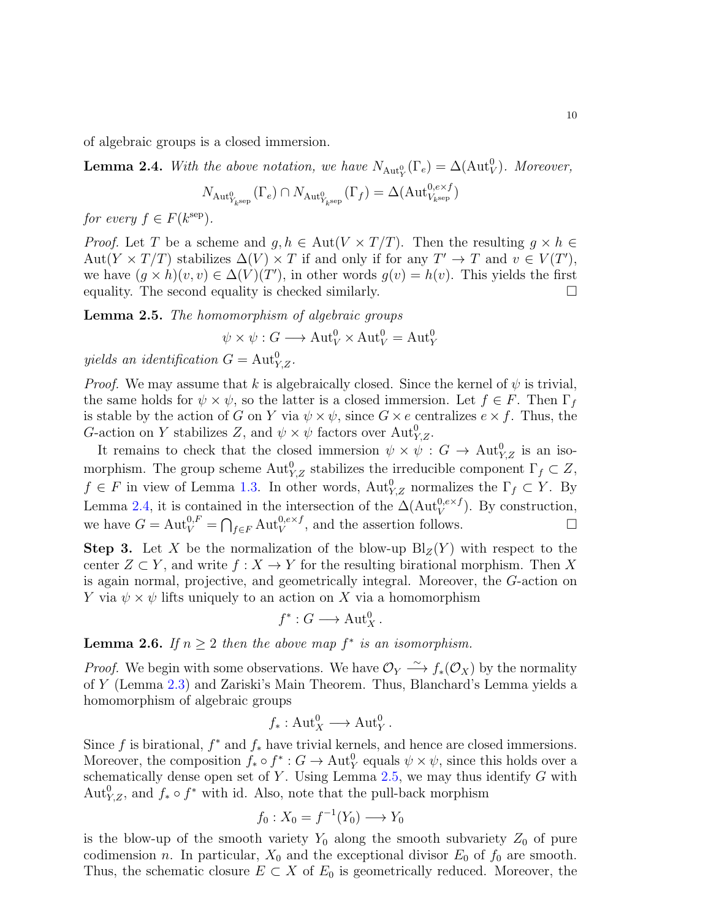of algebraic groups is a closed immersion.

<span id="page-9-0"></span>**Lemma 2.4.** With the above notation, we have  $N_{\text{Aut}_Y^0}(\Gamma_e) = \Delta(\text{Aut}_V^0)$ . Moreover,

$$
N_{\mathrm{Aut}_{Y_{k}^{\mathrm{sep}}}^{0}}(\Gamma_{e}) \cap N_{\mathrm{Aut}_{Y_{k}^{\mathrm{sep}}}^{0}}(\Gamma_{f}) = \Delta(\mathrm{Aut}_{V_{k}^{\mathrm{sep}}}^{0, e \times f})
$$

for every  $f \in F(k^{\text{sep}})$ .

*Proof.* Let T be a scheme and  $g, h \in Aut(V \times T/T)$ . Then the resulting  $g \times h \in$ Aut $(Y \times T/T)$  stabilizes  $\Delta(V) \times T$  if and only if for any  $T' \to T$  and  $v \in V(T')$ , we have  $(g \times h)(v, v) \in \Delta(V)(T')$ , in other words  $g(v) = h(v)$ . This yields the first equality. The second equality is checked similarly.  $\square$ 

<span id="page-9-1"></span>Lemma 2.5. The homomorphism of algebraic groups

$$
\psi \times \psi : G \longrightarrow \text{Aut}_{V}^{0} \times \text{Aut}_{V}^{0} = \text{Aut}_{Y}^{0}
$$

yields an identification  $G = \text{Aut}_{Y,Z}^0$ .

*Proof.* We may assume that k is algebraically closed. Since the kernel of  $\psi$  is trivial, the same holds for  $\psi \times \psi$ , so the latter is a closed immersion. Let  $f \in F$ . Then  $\Gamma_f$ is stable by the action of G on Y via  $\psi \times \psi$ , since  $G \times e$  centralizes  $e \times f$ . Thus, the G-action on Y stabilizes Z, and  $\psi \times \psi$  factors over  $\text{Aut}_{Y,Z}^0$ .

It remains to check that the closed immersion  $\psi \times \psi : G \to \text{Aut}_{Y,Z}^0$  is an isomorphism. The group scheme  $\mathrm{Aut}_{Y,Z}^0$  stabilizes the irreducible component  $\Gamma_f \subset Z$ ,  $f \in F$  in view of Lemma [1.3.](#page-4-1) In other words,  $\text{Aut}_{Y,Z}^0$  normalizes the  $\Gamma_f \subset Y$ . By Lemma [2.4,](#page-9-0) it is contained in the intersection of the  $\Delta(\text{Aut}_{V}^{0,e\times f})$ . By construction, we have  $G = \text{Aut}_{V}^{0,F} = \bigcap_{f \in F} \text{Aut}_{V}^{0,e \times f}$ , and the assertion follows.

**Step 3.** Let X be the normalization of the blow-up  $\text{Bl}_Z(Y)$  with respect to the center  $Z \subset Y$ , and write  $f : X \to Y$  for the resulting birational morphism. Then X is again normal, projective, and geometrically integral. Moreover, the G-action on Y via  $\psi \times \psi$  lifts uniquely to an action on X via a homomorphism

$$
f^*: G \longrightarrow \operatorname{Aut}^0_X.
$$

<span id="page-9-2"></span>**Lemma 2.6.** If  $n \geq 2$  then the above map  $f^*$  is an isomorphism.

*Proof.* We begin with some observations. We have  $\mathcal{O}_Y \xrightarrow{\sim} f_*(\mathcal{O}_X)$  by the normality of Y (Lemma [2.3\)](#page-8-0) and Zariski's Main Theorem. Thus, Blanchard's Lemma yields a homomorphism of algebraic groups

$$
f_*: Aut_X^0 \longrightarrow Aut_Y^0.
$$

Since f is birational,  $f^*$  and  $f_*$  have trivial kernels, and hence are closed immersions. Moreover, the composition  $f_* \circ f^* : G \to \text{Aut}^0_Y$  equals  $\psi \times \psi$ , since this holds over a schematically dense open set of  $Y$ . Using Lemma [2.5,](#page-9-1) we may thus identify  $G$  with Aut $_{Y,Z}^0$ , and  $f_* \circ f^*$  with id. Also, note that the pull-back morphism

$$
f_0: X_0 = f^{-1}(Y_0) \longrightarrow Y_0
$$

is the blow-up of the smooth variety  $Y_0$  along the smooth subvariety  $Z_0$  of pure codimension n. In particular,  $X_0$  and the exceptional divisor  $E_0$  of  $f_0$  are smooth. Thus, the schematic closure  $E \subset X$  of  $E_0$  is geometrically reduced. Moreover, the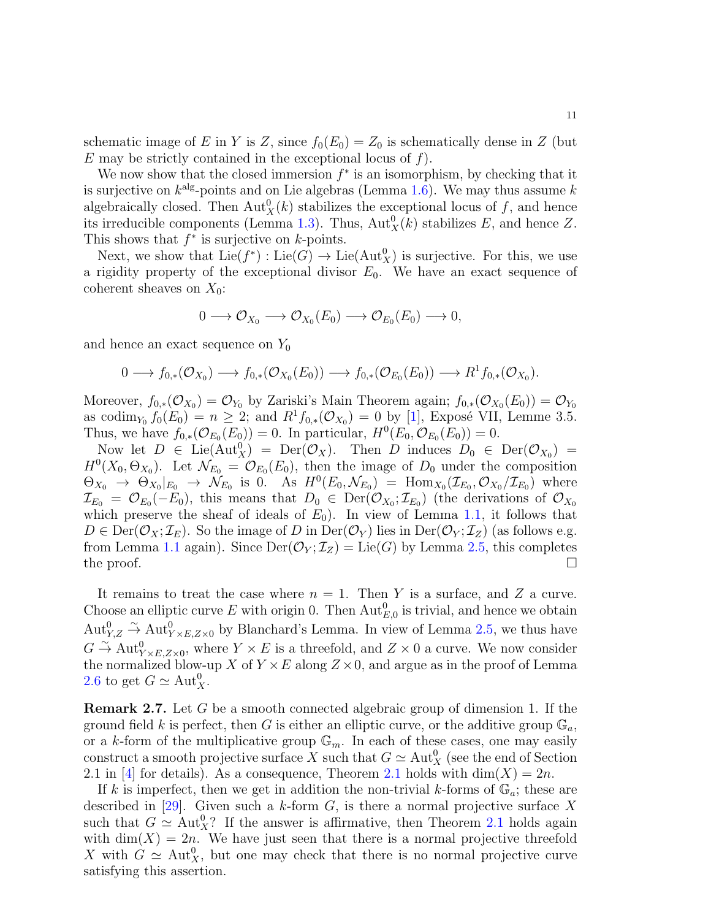schematic image of E in Y is Z, since  $f_0(E_0) = Z_0$  is schematically dense in Z (but E may be strictly contained in the exceptional locus of  $f$ ).

We now show that the closed immersion  $f^*$  is an isomorphism, by checking that it is surjective on  $k^{\text{alg}}$ -points and on Lie algebras (Lemma [1.6\)](#page-5-0). We may thus assume k algebraically closed. Then  $\text{Aut}^0_X(k)$  stabilizes the exceptional locus of f, and hence its irreducible components (Lemma [1.3\)](#page-4-1). Thus,  $\text{Aut}^0_X(k)$  stabilizes E, and hence Z. This shows that  $f^*$  is surjective on  $k$ -points.

Next, we show that  $\text{Lie}(f^*) : \text{Lie}(G) \to \text{Lie}(\text{Aut}_X^0)$  is surjective. For this, we use a rigidity property of the exceptional divisor  $E_0$ . We have an exact sequence of coherent sheaves on  $X_0$ :

$$
0 \longrightarrow \mathcal{O}_{X_0} \longrightarrow \mathcal{O}_{X_0}(E_0) \longrightarrow \mathcal{O}_{E_0}(E_0) \longrightarrow 0,
$$

and hence an exact sequence on  $Y_0$ 

$$
0 \longrightarrow f_{0,*}(\mathcal{O}_{X_0}) \longrightarrow f_{0,*}(\mathcal{O}_{X_0}(E_0)) \longrightarrow f_{0,*}(\mathcal{O}_{E_0}(E_0)) \longrightarrow R^1f_{0,*}(\mathcal{O}_{X_0}).
$$

Moreover,  $f_{0,*}(\mathcal{O}_{X_0})=\mathcal{O}_{Y_0}$  by Zariski's Main Theorem again;  $f_{0,*}(\mathcal{O}_{X_0}(E_0))=\mathcal{O}_{Y_0}$ as codim<sub>Y<sub>0</sub></sub>  $f_0(E_0) = n \ge 2$ ; and  $R^1 f_{0,*}(\mathcal{O}_{X_0}) = 0$  by [\[1\]](#page-19-24), Exposé VII, Lemme 3.5. Thus, we have  $f_{0,*}(\mathcal{O}_{E_0}(E_0)) = 0$ . In particular,  $H^0(E_0, \mathcal{O}_{E_0}(E_0)) = 0$ .

Now let  $D \in \text{Lie}(\text{Aut}_X^0) = \text{Der}(\mathcal{O}_X)$ . Then D induces  $D_0 \in \text{Der}(\mathcal{O}_{X_0}) =$  $H^0(X_0, \Theta_{X_0})$ . Let  $\mathcal{N}_{E_0} = \mathcal{O}_{E_0}(E_0)$ , then the image of  $D_0$  under the composition  $\Theta_{X_0} \to \Theta_{X_0}|_{E_0} \to \mathcal{N}_{E_0}$  is 0. As  $H^0(E_0, \mathcal{N}_{E_0}) = \text{Hom}_{X_0}(\mathcal{I}_{E_0}, \mathcal{O}_{X_0}/\mathcal{I}_{E_0})$  where  $\mathcal{I}_{E_0} = \mathcal{O}_{E_0}(-E_0)$ , this means that  $D_0 \in \text{Der}(\mathcal{O}_{X_0}; \mathcal{I}_{E_0})$  (the derivations of  $\mathcal{O}_{X_0}$ which preserve the sheaf of ideals of  $E_0$ ). In view of Lemma [1.1,](#page-3-0) it follows that  $D \in \text{Der}(\mathcal{O}_X; \mathcal{I}_E)$ . So the image of D in  $\text{Der}(\mathcal{O}_Y)$  lies in  $\text{Der}(\mathcal{O}_Y; \mathcal{I}_Z)$  (as follows e.g. from Lemma [1.1](#page-3-0) again). Since  $Der(\mathcal{O}_Y; \mathcal{I}_Z) = Lie(G)$  by Lemma [2.5,](#page-9-1) this completes the proof.  $\Box$ 

It remains to treat the case where  $n = 1$ . Then Y is a surface, and Z a curve. Choose an elliptic curve E with origin 0. Then  $\text{Aut}_{E,0}^0$  is trivial, and hence we obtain  $\text{Aut}_{Y,Z}^0 \overset{\sim}{\to} \text{Aut}_{Y \times E,Z \times 0}^0$  by Blanchard's Lemma. In view of Lemma [2.5,](#page-9-1) we thus have  $G \stackrel{\sim}{\to} \text{Aut}_{Y \times E, Z \times 0}^0$ , where  $Y \times E$  is a threefold, and  $Z \times 0$  a curve. We now consider the normalized blow-up X of  $Y \times E$  along  $Z \times 0$ , and argue as in the proof of Lemma [2.6](#page-9-2) to get  $G \simeq \text{Aut}_X^0$ .

Remark 2.7. Let G be a smooth connected algebraic group of dimension 1. If the ground field k is perfect, then G is either an elliptic curve, or the additive group  $\mathbb{G}_a$ , or a k-form of the multiplicative group  $\mathbb{G}_m$ . In each of these cases, one may easily construct a smooth projective surface X such that  $G \simeq \text{Aut}_X^0$  (see the end of Section 2.1 in [\[4\]](#page-19-11) for details). As a consequence, Theorem [2.1](#page-6-1) holds with  $\dim(X) = 2n$ .

If k is imperfect, then we get in addition the non-trivial k-forms of  $\mathbb{G}_a$ ; these are described in [\[29\]](#page-20-4). Given such a k-form  $G$ , is there a normal projective surface X such that  $G \simeq \text{Aut}_X^0$ ? If the answer is affirmative, then Theorem [2.1](#page-6-1) holds again with  $\dim(X) = 2n$ . We have just seen that there is a normal projective threefold X with  $G \simeq \text{Aut}_X^0$ , but one may check that there is no normal projective curve satisfying this assertion.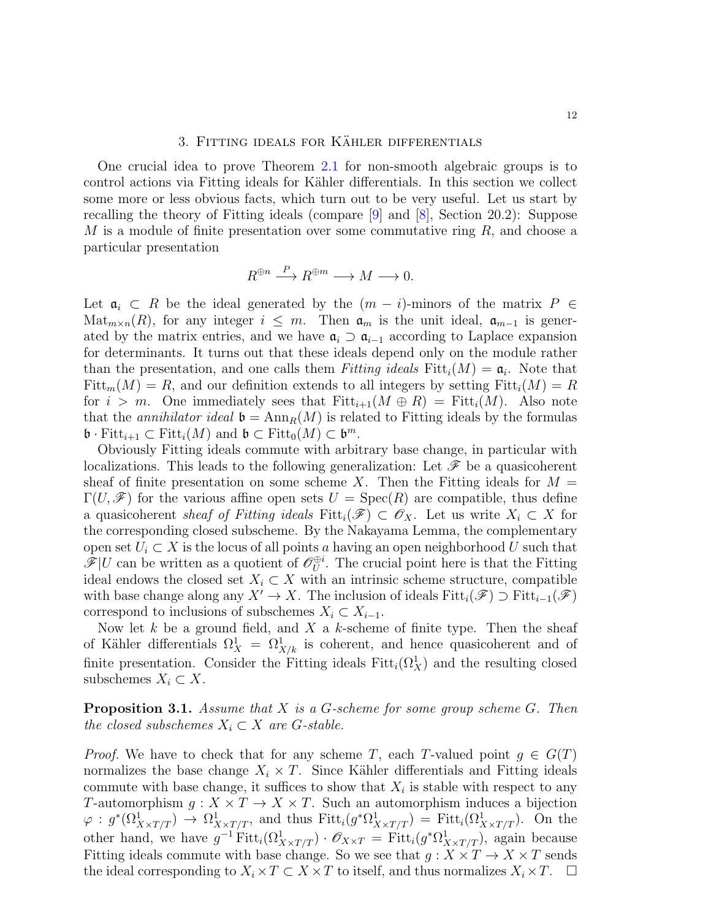## 3. FITTING IDEALS FOR KÄHLER DIFFERENTIALS

<span id="page-11-0"></span>One crucial idea to prove Theorem [2.1](#page-6-1) for non-smooth algebraic groups is to control actions via Fitting ideals for Kähler differentials. In this section we collect some more or less obvious facts, which turn out to be very useful. Let us start by recalling the theory of Fitting ideals (compare [\[9\]](#page-19-25) and [\[8\]](#page-19-26), Section 20.2): Suppose  $M$  is a module of finite presentation over some commutative ring  $R$ , and choose a particular presentation

$$
R^{\oplus n}\stackrel{P}{\longrightarrow} R^{\oplus m}\longrightarrow M\longrightarrow 0.
$$

Let  $a_i \text{ }\subset R$  be the ideal generated by the  $(m - i)$ -minors of the matrix  $P \in$ Mat<sub>m×n</sub>(R), for any integer  $i \leq m$ . Then  $\mathfrak{a}_m$  is the unit ideal,  $\mathfrak{a}_{m-1}$  is generated by the matrix entries, and we have  $\mathfrak{a}_i \supset \mathfrak{a}_{i-1}$  according to Laplace expansion for determinants. It turns out that these ideals depend only on the module rather than the presentation, and one calls them Fitting ideals  $Fitt_i(M) = \mathfrak{a}_i$ . Note that  $Fitt_m(M) = R$ , and our definition extends to all integers by setting  $Fitt_i(M) = R$ for  $i > m$ . One immediately sees that  $Fitt_{i+1}(M \oplus R) = Fitt_i(M)$ . Also note that the annihilator ideal  $\mathfrak{b} = \text{Ann}_R(M)$  is related to Fitting ideals by the formulas  $\mathfrak{b} \cdot \text{Fitt}_{i+1} \subset \text{Fitt}_{i}(M)$  and  $\mathfrak{b} \subset \text{Fitt}_{0}(M) \subset \mathfrak{b}^{m}$ .

Obviously Fitting ideals commute with arbitrary base change, in particular with localizations. This leads to the following generalization: Let  $\mathscr F$  be a quasicoherent sheaf of finite presentation on some scheme X. Then the Fitting ideals for  $M =$  $\Gamma(U,\mathscr{F})$  for the various affine open sets  $U = \text{Spec}(R)$  are compatible, thus define a quasicoherent sheaf of Fitting ideals Fitt<sub>i</sub>( $\mathscr{F}) \subset \mathscr{O}_X$ . Let us write  $X_i \subset X$  for the corresponding closed subscheme. By the Nakayama Lemma, the complementary open set  $U_i \subset X$  is the locus of all points a having an open neighborhood U such that  $\mathscr{F}|U$  can be written as a quotient of  $\mathscr{O}_U^{\oplus i}$  $U$ . The crucial point here is that the Fitting ideal endows the closed set  $X_i \subset X$  with an intrinsic scheme structure, compatible with base change along any  $X' \to X$ . The inclusion of ideals  $Fitt_i(\mathscr{F}) \supset Fitt_{i-1}(\mathscr{F})$ correspond to inclusions of subschemes  $X_i \subset X_{i-1}$ .

Now let k be a ground field, and X a k-scheme of finite type. Then the sheaf of Kähler differentials  $\Omega_X^1 = \Omega_{X/k}^1$  is coherent, and hence quasicoherent and of finite presentation. Consider the Fitting ideals  $Fitt_i(\Omega^1_X)$  and the resulting closed subschemes  $X_i \subset X$ .

<span id="page-11-1"></span>**Proposition 3.1.** Assume that  $X$  is a  $G$ -scheme for some group scheme  $G$ . Then the closed subschemes  $X_i \subset X$  are G-stable.

*Proof.* We have to check that for any scheme T, each T-valued point  $g \in G(T)$ normalizes the base change  $X_i \times T$ . Since Kähler differentials and Fitting ideals commute with base change, it suffices to show that  $X_i$  is stable with respect to any T-automorphism  $g: X \times T \to X \times T$ . Such an automorphism induces a bijection  $\varphi: g^*(\Omega^1_{X\times T/T})\to \Omega^1_{X\times T/T}$ , and thus  $Fitt_i(g^*\Omega^1_{X\times T/T}) = Fitt_i(\Omega^1_{X\times T/T})$ . On the other hand, we have  $g^{-1} \text{Fitt}_i(\Omega^1_{X \times T/T}) \cdot \mathscr{O}_{X \times T} = \text{Fitt}_i(g^* \Omega^1_{X \times T/T})$ , again because Fitting ideals commute with base change. So we see that  $g: X \times T \to X \times T$  sends the ideal corresponding to  $X_i \times T \subset X \times T$  to itself, and thus normalizes  $X_i \times T$ .  $\Box$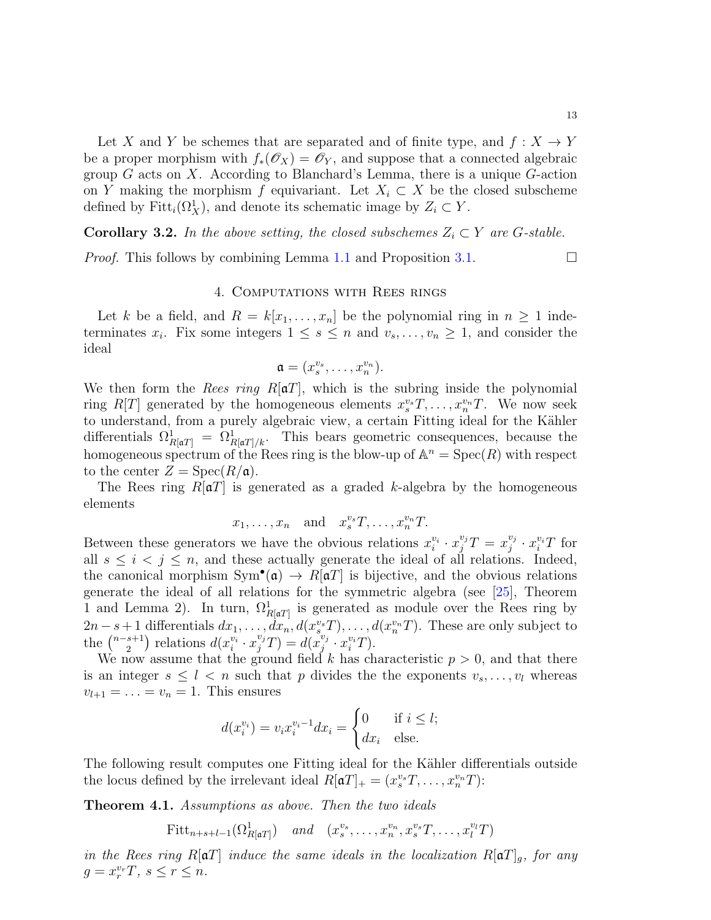Let X and Y be schemes that are separated and of finite type, and  $f: X \to Y$ be a proper morphism with  $f_*(\mathscr{O}_X) = \mathscr{O}_Y$ , and suppose that a connected algebraic group  $G$  acts on  $X$ . According to Blanchard's Lemma, there is a unique  $G$ -action on Y making the morphism f equivariant. Let  $X_i \subset X$  be the closed subscheme defined by  $Fitt_i(\Omega^1_X)$ , and denote its schematic image by  $Z_i \subset Y$ .

**Corollary 3.2.** In the above setting, the closed subschemes  $Z_i \subset Y$  are G-stable.

*Proof.* This follows by combining Lemma [1.1](#page-3-0) and Proposition [3.1.](#page-11-1)  $\Box$ 

#### 4. Computations with Rees rings

<span id="page-12-0"></span>Let k be a field, and  $R = k[x_1, \ldots, x_n]$  be the polynomial ring in  $n \geq 1$  indeterminates  $x_i$ . Fix some integers  $1 \leq s \leq n$  and  $v_s, \ldots, v_n \geq 1$ , and consider the ideal

$$
\mathfrak{a}=(x_s^{v_s},\ldots,x_n^{v_n}).
$$

We then form the *Rees ring R*[ $\alpha$ T], which is the subring inside the polynomial ring  $R[T]$  generated by the homogeneous elements  $x_s^{v_s}T, \ldots, x_n^{v_n}T$ . We now seek to understand, from a purely algebraic view, a certain Fitting ideal for the Kähler differentials  $\Omega_{R[\mathfrak{a}T]}^1 = \Omega_{R[\mathfrak{a}T]/k}^1$ . This bears geometric consequences, because the homogeneous spectrum of the Rees ring is the blow-up of  $\mathbb{A}^n = \text{Spec}(R)$  with respect to the center  $Z = \text{Spec}(R/\mathfrak{a})$ .

The Rees ring  $R[\mathfrak{a}T]$  is generated as a graded k-algebra by the homogeneous elements

$$
x_1, \ldots, x_n
$$
 and  $x_s^{v_s}T, \ldots, x_n^{v_n}T$ .

Between these generators we have the obvious relations  $x_i^{v_i} \cdot x_j^{v_j} T = x_j^{v_j}$  $y_j^{v_j} \cdot x_i^{v_i} T$  for all  $s \leq i \leq j \leq n$ , and these actually generate the ideal of all relations. Indeed, the canonical morphism  $Sym^{\bullet}(\mathfrak{a}) \to R[\mathfrak{a}T]$  is bijective, and the obvious relations generate the ideal of all relations for the symmetric algebra (see [\[25\]](#page-19-27), Theorem 1 and Lemma 2). In turn,  $\Omega_{R[\mathfrak{a}T]}^1$  is generated as module over the Rees ring by  $2n-s+1$  differentials  $dx_1, \ldots, dx_n, d(x_s^{v_s}T), \ldots, d(x_n^{v_n}T)$ . These are only subject to the  $\binom{n-s+1}{2}$  $a_2^{s+1}$ ) relations  $d(x_i^{v_i} \cdot x_j^{v_j} T) = d(x_j^{v_j})$  $y_j^{v_j} \cdot x_i^{v_i} T$ .

We now assume that the ground field k has characteristic  $p > 0$ , and that there is an integer  $s \leq l < n$  such that p divides the the exponents  $v_s, \ldots, v_l$  whereas  $v_{l+1} = \ldots = v_n = 1$ . This ensures

$$
d(x_i^{v_i}) = v_i x_i^{v_i - 1} dx_i = \begin{cases} 0 & \text{if } i \leq l; \\ dx_i & \text{else.} \end{cases}
$$

The following result computes one Fitting ideal for the Kähler differentials outside the locus defined by the irrelevant ideal  $R[\mathfrak{a}T]_+ = (x_s^{v_s}T, \ldots, x_n^{v_n}T)$ :

<span id="page-12-1"></span>Theorem 4.1. Assumptions as above. Then the two ideals

 $Fitt_{n+s+l-1}(\Omega^1_{R[\mathfrak{a}T]}) \quad and \quad (x_s^{v_s}, \ldots, x_n^{v_n}, x_s^{v_s}T, \ldots, x_l^{v_l}T)$ 

in the Rees ring R[ $\alpha$ T] induce the same ideals in the localization R[ $\alpha$ T]<sub>g</sub>, for any  $g = x_r^{v_r}T, s \leq r \leq n.$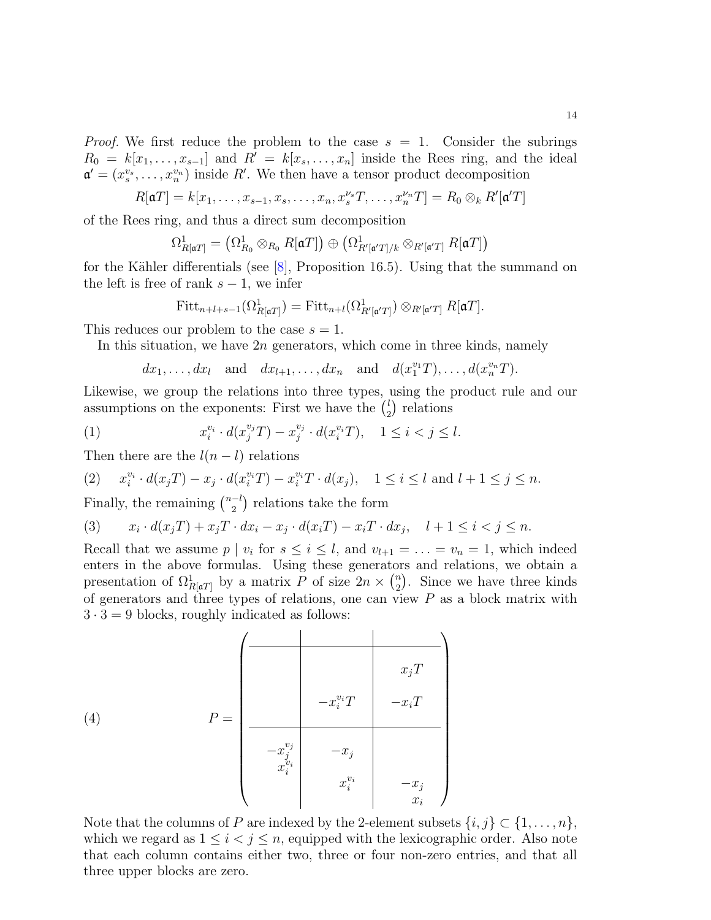*Proof.* We first reduce the problem to the case  $s = 1$ . Consider the subrings  $R_0 = k[x_1, \ldots, x_{s-1}]$  and  $R' = k[x_s, \ldots, x_n]$  inside the Rees ring, and the ideal  $\mathfrak{a}' = (x_s^{v_s}, \ldots, x_n^{v_n})$  inside R'. We then have a tensor product decomposition

$$
R[\mathfrak{a}T] = k[x_1, \ldots, x_{s-1}, x_s, \ldots, x_n, x_s^{v_s}T, \ldots, x_n^{v_n}T] = R_0 \otimes_k R'[\mathfrak{a}'T]
$$

of the Rees ring, and thus a direct sum decomposition

$$
\Omega^1_{R[{\mathfrak a} T]} = \left( \Omega^1_{R_0} \otimes_{R_0} R[{\mathfrak a} T] \right) \oplus \left( \Omega^1_{R'[{\mathfrak a}' T]/k} \otimes_{R'[{\mathfrak a}' T]} R[{\mathfrak a} T] \right)
$$

for the Kähler differentials (see  $[8]$ , Proposition 16.5). Using that the summand on the left is free of rank  $s - 1$ , we infer

$$
\text{Fitt}_{n+l+s-1}(\Omega^1_{R[\mathfrak{a}T]})=\text{Fitt}_{n+l}(\Omega^1_{R'[\mathfrak{a}'T]})\otimes_{R'[\mathfrak{a}'T]}R[\mathfrak{a}T].
$$

This reduces our problem to the case  $s = 1$ .

In this situation, we have  $2n$  generators, which come in three kinds, namely

 $dx_1, \ldots, dx_l$  and  $dx_{l+1}, \ldots, dx_n$  and  $d(x_1^{v_1}T), \ldots, d(x_n^{v_n}T)$ .

Likewise, we group the relations into three types, using the product rule and our assumptions on the exponents: First we have the  $\binom{l}{2}$  $i<sub>2</sub>$ ) relations

(1) 
$$
x_i^{v_i} \cdot d(x_j^{v_j}T) - x_j^{v_j} \cdot d(x_i^{v_i}T), \quad 1 \le i < j \le l.
$$

Then there are the  $l(n-l)$  relations

$$
(2) \qquad x_i^{v_i} \cdot d(x_j T) - x_j \cdot d(x_i^{v_i} T) - x_i^{v_i} T \cdot d(x_j), \quad 1 \le i \le l \text{ and } l+1 \le j \le n.
$$

Finally, the remaining  $\binom{n-l}{2}$  $\binom{-l}{2}$  relations take the form

$$
(3) \qquad x_i\cdot d(x_jT)+x_jT\cdot dx_i-x_j\cdot d(x_iT)-x_iT\cdot dx_j,\quad l+1\leq i
$$

Recall that we assume  $p \mid v_i$  for  $s \leq i \leq l$ , and  $v_{l+1} = \ldots = v_n = 1$ , which indeed enters in the above formulas. Using these generators and relations, we obtain a presentation of  $\Omega^1_{R[\mathfrak{a}T]}$  by a matrix P of size  $2n \times \binom{n}{2}$  $n_2$ ). Since we have three kinds of generators and three types of relations, one can view  $P$  as a block matrix with  $3 \cdot 3 = 9$  blocks, roughly indicated as follows:

(4) 
$$
P = \begin{pmatrix} x_j T \\ -x_i^{v_i} T \\ -x_j^{v_j} & -x_j \\ x_i^{v_i} & x_i^{v_i} & -x_j \\ x_i^{v_i} & x_i^{v_i} & -x_j \\ x_i & x_i & x_i \end{pmatrix}
$$

Note that the columns of P are indexed by the 2-element subsets  $\{i, j\} \subset \{1, \ldots, n\}$ , which we regard as  $1 \leq i < j \leq n$ , equipped with the lexicographic order. Also note that each column contains either two, three or four non-zero entries, and that all three upper blocks are zero.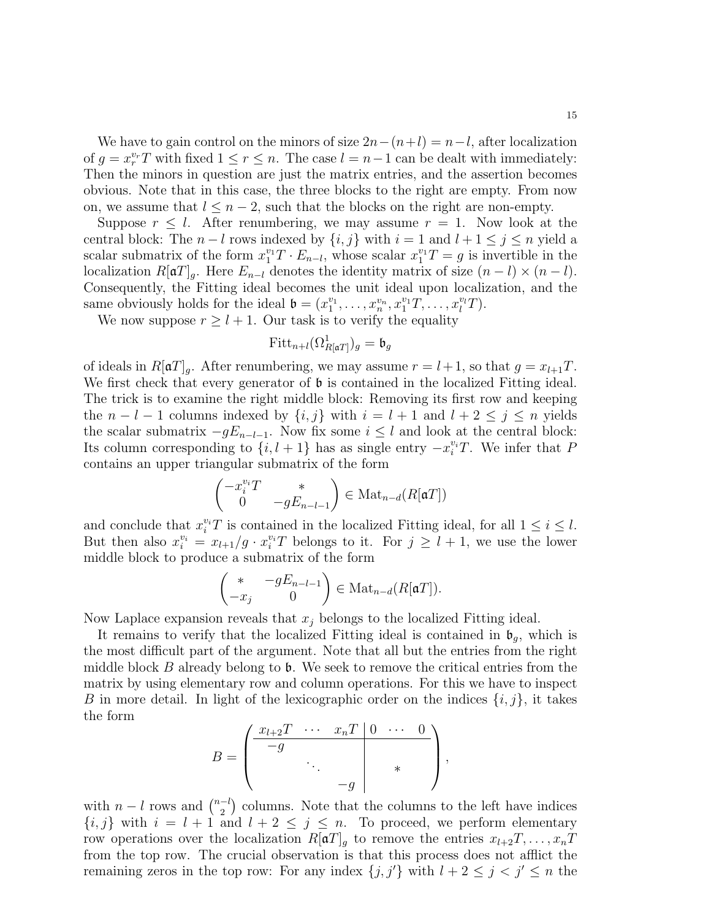We have to gain control on the minors of size  $2n-(n+l) = n-l$ , after localization of  $g = x_r^{v_r} T$  with fixed  $1 \le r \le n$ . The case  $l = n - 1$  can be dealt with immediately: Then the minors in question are just the matrix entries, and the assertion becomes obvious. Note that in this case, the three blocks to the right are empty. From now on, we assume that  $l \leq n-2$ , such that the blocks on the right are non-empty.

Suppose  $r \leq l$ . After renumbering, we may assume  $r = 1$ . Now look at the central block: The  $n - l$  rows indexed by  $\{i, j\}$  with  $i = 1$  and  $l + 1 \leq j \leq n$  yield a scalar submatrix of the form  $x_1^{v_1}T \cdot E_{n-l}$ , whose scalar  $x_1^{v_1}T = g$  is invertible in the localization  $R[\mathfrak{a}T]_q$ . Here  $E_{n-l}$  denotes the identity matrix of size  $(n-l) \times (n-l)$ . Consequently, the Fitting ideal becomes the unit ideal upon localization, and the same obviously holds for the ideal  $\mathfrak{b} = (x_1^{v_1}, \ldots, x_n^{v_n}, x_1^{v_1}T, \ldots, x_l^{v_l}T)$ .

We now suppose  $r \geq l + 1$ . Our task is to verify the equality

$$
\text{Fitt}_{n+l}(\Omega^1_{R[\mathfrak{a}T]})_g = \mathfrak{b}_g
$$

of ideals in  $R[\mathfrak{a}T]_q$ . After renumbering, we may assume  $r = l+1$ , so that  $g = x_{l+1}T$ . We first check that every generator of **b** is contained in the localized Fitting ideal. The trick is to examine the right middle block: Removing its first row and keeping the  $n - l - 1$  columns indexed by  $\{i, j\}$  with  $i = l + 1$  and  $l + 2 \leq j \leq n$  yields the scalar submatrix  $-gE_{n-l-1}$ . Now fix some  $i \leq l$  and look at the central block: Its column corresponding to  $\{i, l + 1\}$  has as single entry  $-x_i^{v_i}T$ . We infer that P contains an upper triangular submatrix of the form

$$
\begin{pmatrix} -x_i^{v_i}T & * \\ 0 & -gE_{n-l-1} \end{pmatrix} \in \text{Mat}_{n-d}(R[\mathfrak{a}T])
$$

and conclude that  $x_i^{v_i}T$  is contained in the localized Fitting ideal, for all  $1 \leq i \leq l$ . But then also  $x_i^{v_i} = x_{l+1}/g \cdot x_i^{v_i}T$  belongs to it. For  $j \geq l+1$ , we use the lower middle block to produce a submatrix of the form

$$
\begin{pmatrix} * & -gE_{n-l-1} \\ -x_j & 0 \end{pmatrix} \in \text{Mat}_{n-d}(R[\mathfrak{a}T]).
$$

Now Laplace expansion reveals that  $x_j$  belongs to the localized Fitting ideal.

It remains to verify that the localized Fitting ideal is contained in  $\mathfrak{b}_q$ , which is the most difficult part of the argument. Note that all but the entries from the right middle block  $B$  already belong to  $\mathfrak b$ . We seek to remove the critical entries from the matrix by using elementary row and column operations. For this we have to inspect B in more detail. In light of the lexicographic order on the indices  $\{i, j\}$ , it takes the form

$$
B = \begin{pmatrix} x_{l+2}T & \cdots & x_nT & 0 & \cdots & 0 \\ -g & & & & \\ & \ddots & & & \\ & & -g & & \end{pmatrix},
$$

with  $n-l$  rows and  $\binom{n-l}{2}$  $\binom{-l}{2}$  columns. Note that the columns to the left have indices  ${i, j}$  with  $i = l + 1$  and  $l + 2 \leq j \leq n$ . To proceed, we perform elementary row operations over the localization  $R[\mathfrak{a}T]_g$  to remove the entries  $x_{l+2}T, \ldots, x_nT$ from the top row. The crucial observation is that this process does not afflict the remaining zeros in the top row: For any index  $\{j, j'\}$  with  $l + 2 \le j < j' \le n$  the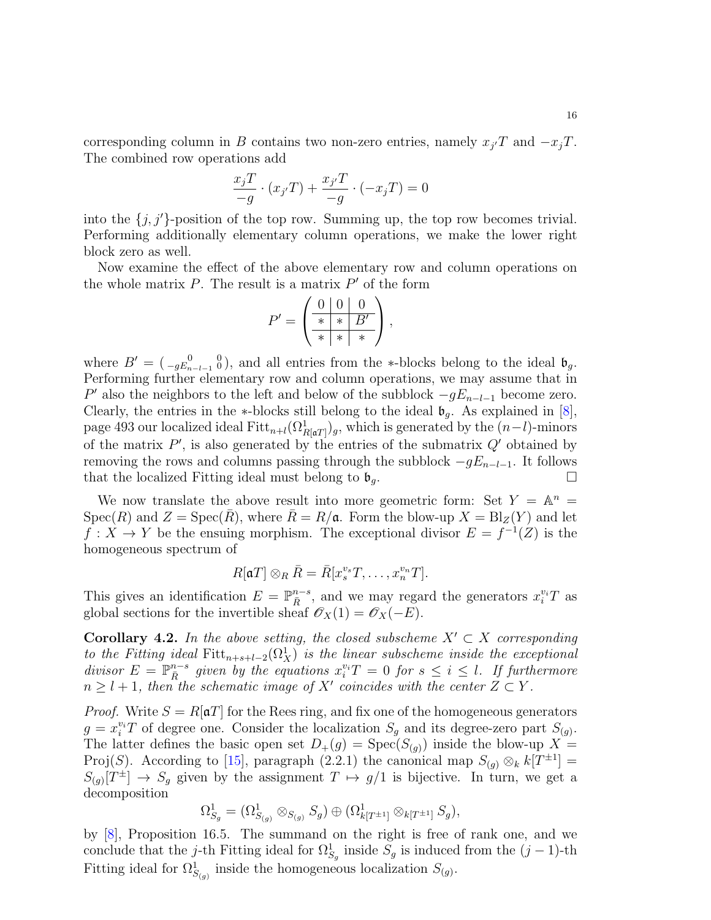corresponding column in B contains two non-zero entries, namely  $x_{j'}T$  and  $-x_{j}T$ . The combined row operations add

$$
\frac{x_j T}{-g} \cdot (x_{j'} T) + \frac{x_{j'} T}{-g} \cdot (-x_j T) = 0
$$

into the  $\{j, j'\}$ -position of the top row. Summing up, the top row becomes trivial. Performing additionally elementary column operations, we make the lower right block zero as well.

Now examine the effect of the above elementary row and column operations on the whole matrix  $P$ . The result is a matrix  $P'$  of the form

$$
P' = \begin{pmatrix} 0 & 0 & 0 \\ \frac{*}{*} & * & B' \\ \frac{*}{*} & * & * \end{pmatrix},
$$

where  $B' = \begin{pmatrix} 0 & 0 \\ -gE_{n-l-1} & 0 \end{pmatrix}$ , and all entries from the \*-blocks belong to the ideal  $\mathfrak{b}_g$ . Performing further elementary row and column operations, we may assume that in P' also the neighbors to the left and below of the subblock  $-gE_{n-l-1}$  become zero. Clearly, the entries in the ∗-blocks still belong to the ideal  $\mathfrak{b}_g$ . As explained in [\[8\]](#page-19-26), page 493 our localized ideal  $\text{Fitt}_{n+l}(\Omega^1_{R[\mathfrak{a}T]})_g$ , which is generated by the  $(n-l)$ -minors of the matrix  $P'$ , is also generated by the entries of the submatrix  $Q'$  obtained by removing the rows and columns passing through the subblock  $-qE_{n-l-1}$ . It follows that the localized Fitting ideal must belong to  $\mathfrak{b}_q$ .

We now translate the above result into more geometric form: Set  $Y = \mathbb{A}^n =$  $Spec(R)$  and  $Z = Spec(\overline{R})$ , where  $\overline{R} = R/\mathfrak{a}$ . Form the blow-up  $X = Bl_Z(Y)$  and let  $f: X \to Y$  be the ensuing morphism. The exceptional divisor  $E = f^{-1}(Z)$  is the homogeneous spectrum of

$$
R[\mathfrak{a}T] \otimes_R \bar{R} = \bar{R}[x_s^{v_s}T, \ldots, x_n^{v_n}T].
$$

This gives an identification  $E = \mathbb{P}_{\bar{R}}^{n-s}$ , and we may regard the generators  $x_i^{v_i}T$  as global sections for the invertible sheaf  $\mathscr{O}_X(1) = \mathscr{O}_X(-E)$ .

<span id="page-15-0"></span>**Corollary 4.2.** In the above setting, the closed subscheme  $X' \subset X$  corresponding to the Fitting ideal Fitt<sub>n+s+l</sub>-2 $(\Omega_X^1)$  is the linear subscheme inside the exceptional divisor  $E = \mathbb{P}_{\bar{R}}^{n-s}$  given by the equations  $x_i^{v_i}T = 0$  for  $s \leq i \leq l$ . If furthermore  $n \geq l+1$ , then the schematic image of X' coincides with the center  $Z \subset Y$ .

*Proof.* Write  $S = R[\mathfrak{a}T]$  for the Rees ring, and fix one of the homogeneous generators  $g = x_i^{v_i}$  of degree one. Consider the localization  $S_g$  and its degree-zero part  $S_{(g)}$ . The latter defines the basic open set  $D_+(g) = \text{Spec}(S_{(g)})$  inside the blow-up  $X =$ Proj(S). According to [\[15\]](#page-19-28), paragraph (2.2.1) the canonical map  $S_{(g)} \otimes_k k[T^{\pm 1}] =$  $S_{(g)}[T^{\pm}] \to S_g$  given by the assignment  $T \mapsto g/1$  is bijective. In turn, we get a decomposition

$$
\Omega^1_{S_g} = (\Omega^1_{S_{(g)}} \otimes_{S_{(g)}} S_g) \oplus (\Omega^1_{k[T^{\pm 1}]} \otimes_{k[T^{\pm 1}]} S_g),
$$

by [\[8\]](#page-19-26), Proposition 16.5. The summand on the right is free of rank one, and we conclude that the j-th Fitting ideal for  $\Omega_{S_g}^1$  inside  $S_g$  is induced from the  $(j-1)$ -th Fitting ideal for  $\Omega_{S_{(g)}}^1$  inside the homogeneous localization  $S_{(g)}$ .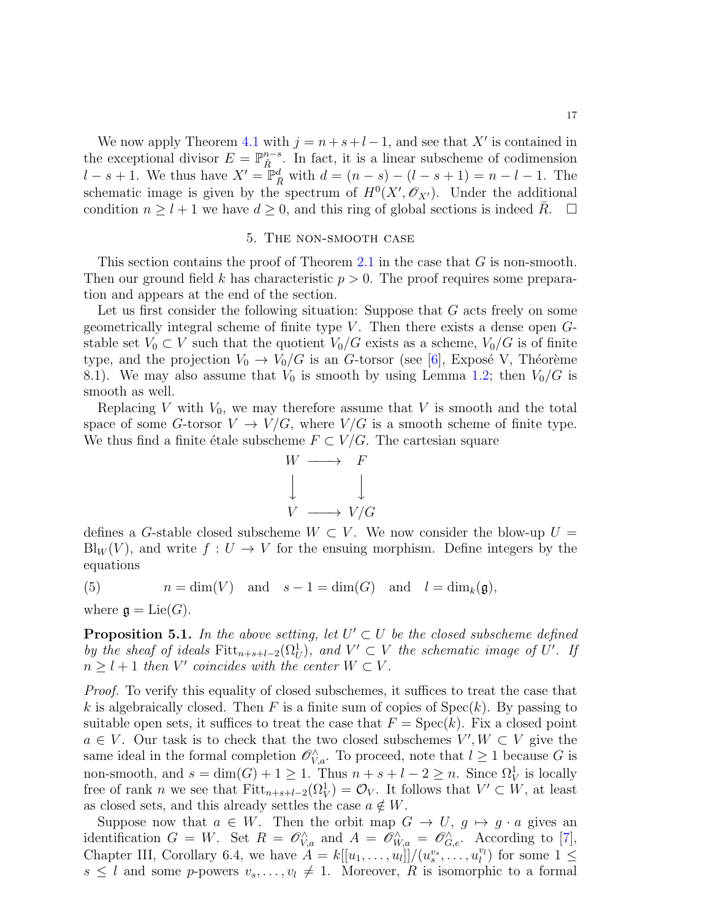We now apply Theorem [4.1](#page-12-1) with  $j = n + s + l - 1$ , and see that X' is contained in the exceptional divisor  $E = \mathbb{P}_{\bar{R}}^{n-s}$ . In fact, it is a linear subscheme of codimension  $l - s + 1$ . We thus have  $X' = \mathbb{P}_{\bar{R}}^d$  with  $d = (n - s) - (l - s + 1) = n - l - 1$ . The schematic image is given by the spectrum of  $H^0(X', \mathcal{O}_{X'})$ . Under the additional condition  $n \geq l + 1$  we have  $d \geq 0$ , and this ring of global sections is indeed R.  $\Box$ 

### 5. The non-smooth case

<span id="page-16-0"></span>This section contains the proof of Theorem [2.1](#page-6-1) in the case that G is non-smooth. Then our ground field k has characteristic  $p > 0$ . The proof requires some preparation and appears at the end of the section.

Let us first consider the following situation: Suppose that G acts freely on some geometrically integral scheme of finite type  $V$ . Then there exists a dense open  $G$ stable set  $V_0 \subset V$  such that the quotient  $V_0/G$  exists as a scheme,  $V_0/G$  is of finite type, and the projection  $V_0 \to V_0/G$  is an G-torsor (see [\[6\]](#page-19-12), Exposé V, Théorème 8.1). We may also assume that  $V_0$  is smooth by using Lemma [1.2;](#page-4-0) then  $V_0/G$  is smooth as well.

Replacing V with  $V_0$ , we may therefore assume that V is smooth and the total space of some G-torsor  $V \to V/G$ , where  $V/G$  is a smooth scheme of finite type. We thus find a finite étale subscheme  $F \subset V/G$ . The cartesian square



defines a G-stable closed subscheme  $W \subset V$ . We now consider the blow-up  $U =$  $\text{Bl}_W(V)$ , and write  $f: U \to V$  for the ensuing morphism. Define integers by the equations

<span id="page-16-2"></span>(5) 
$$
n = \dim(V)
$$
 and  $s - 1 = \dim(G)$  and  $l = \dim_k(\mathfrak{g}),$ 

where  $\mathfrak{g} = \mathrm{Lie}(G)$ .

<span id="page-16-1"></span>**Proposition 5.1.** In the above setting, let  $U' \subset U$  be the closed subscheme defined by the sheaf of ideals  $Fitt_{n+s+l-2}(\Omega_U^1)$ , and  $V' \subset V$  the schematic image of U'. If  $n \geq l+1$  then V' coincides with the center  $W \subset V$ .

Proof. To verify this equality of closed subschemes, it suffices to treat the case that k is algebraically closed. Then F is a finite sum of copies of  $Spec(k)$ . By passing to suitable open sets, it suffices to treat the case that  $F = \text{Spec}(k)$ . Fix a closed point  $a \in V$ . Our task is to check that the two closed subschemes  $V', W \subset V$  give the same ideal in the formal completion  $\mathscr{O}_{V,a}^{\wedge}$ . To proceed, note that  $l \geq 1$  because G is non-smooth, and  $s = \dim(G) + 1 \ge 1$ . Thus  $n + s + l - 2 \ge n$ . Since  $\Omega^1_V$  is locally free of rank *n* we see that  $Fitt_{n+s+l-2}(\Omega_V^1) = \mathcal{O}_V$ . It follows that  $V' \subset W$ , at least as closed sets, and this already settles the case  $a \notin W$ .

Suppose now that  $a \in W$ . Then the orbit map  $G \to U$ ,  $g \mapsto g \cdot a$  gives an identification  $G = W$ . Set  $R = \mathscr{O}_{V,a}^{\wedge}$  and  $A = \mathscr{O}_{W,a}^{\wedge} = \mathscr{O}_{G,e}^{\wedge}$ . According to [\[7\]](#page-19-13), Chapter III, Corollary 6.4, we have  $A = k[[u_1, \ldots, u_l]]/(u_s^{v_s}, \ldots, u_l^{v_l})$  for some  $1 \leq$  $s \leq l$  and some p-powers  $v_s, \ldots, v_l \neq 1$ . Moreover, R is isomorphic to a formal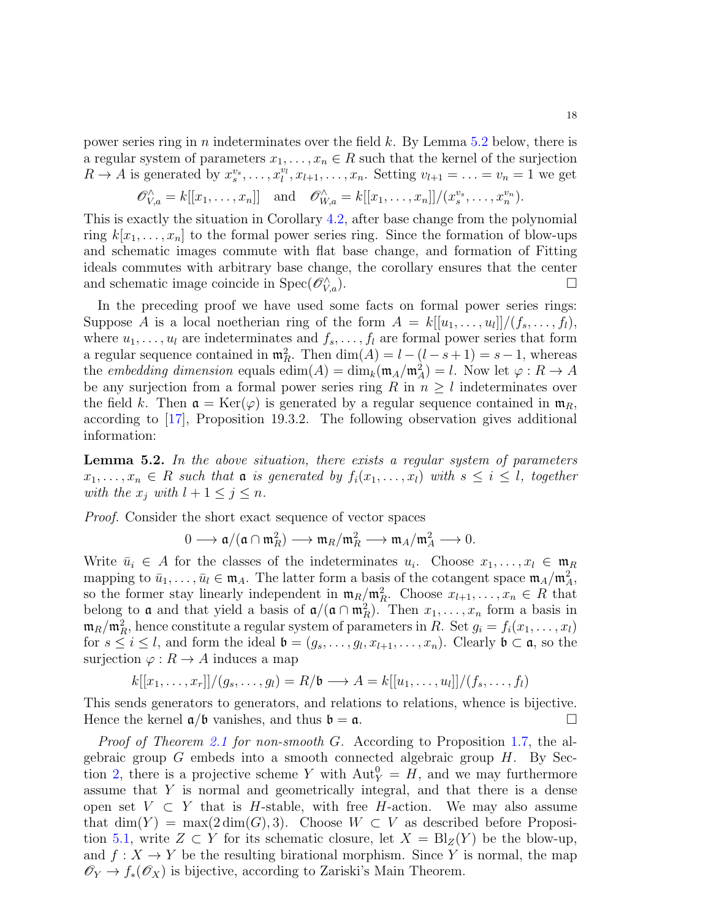power series ring in n indeterminates over the field k. By Lemma [5.2](#page-17-0) below, there is a regular system of parameters  $x_1, \ldots, x_n \in R$  such that the kernel of the surjection  $R \to A$  is generated by  $x_s^{v_s}, \ldots, x_l^{v_l}, x_{l+1}, \ldots, x_n$ . Setting  $v_{l+1} = \ldots = v_n = 1$  we get

$$
\mathscr{O}_{V,a}^{\wedge} = k[[x_1,\ldots,x_n]]
$$
 and  $\mathscr{O}_{W,a}^{\wedge} = k[[x_1,\ldots,x_n]]/(x_s^{v_s},\ldots,x_n^{v_n}).$ 

This is exactly the situation in Corollary [4.2,](#page-15-0) after base change from the polynomial ring  $k[x_1, \ldots, x_n]$  to the formal power series ring. Since the formation of blow-ups and schematic images commute with flat base change, and formation of Fitting ideals commutes with arbitrary base change, the corollary ensures that the center and schematic image coincide in  $Spec(\mathcal{O}_{Va}^{\wedge})$ .  $V_{\nu,a}$ ).

In the preceding proof we have used some facts on formal power series rings: Suppose A is a local noetherian ring of the form  $A = k[[u_1, \ldots, u_l]]/(f_s, \ldots, f_l)$ , where  $u_1, \ldots, u_l$  are indeterminates and  $f_s, \ldots, f_l$  are formal power series that form a regular sequence contained in  $\mathfrak{m}_R^2$ . Then  $\dim(A) = l - (l - s + 1) = s - 1$ , whereas the *embedding dimension* equals  $\text{edim}(A) = \text{dim}_k(\mathfrak{m}_A/\mathfrak{m}_A^2) = l$ . Now let  $\varphi : R \to A$ be any surjection from a formal power series ring R in  $n \geq l$  indeterminates over the field k. Then  $\mathfrak{a} = \text{Ker}(\varphi)$  is generated by a regular sequence contained in  $\mathfrak{m}_R$ , according to [\[17\]](#page-19-21), Proposition 19.3.2. The following observation gives additional information:

<span id="page-17-0"></span>**Lemma 5.2.** In the above situation, there exists a regular system of parameters  $x_1, \ldots, x_n \in R$  such that  $\mathfrak a$  is generated by  $f_i(x_1, \ldots, x_l)$  with  $s \leq i \leq l$ , together with the  $x_j$  with  $l + 1 \leq j \leq n$ .

Proof. Consider the short exact sequence of vector spaces

$$
0 \longrightarrow \mathfrak{a}/(\mathfrak{a} \cap \mathfrak{m}_R^2) \longrightarrow \mathfrak{m}_R/\mathfrak{m}_R^2 \longrightarrow \mathfrak{m}_A/\mathfrak{m}_A^2 \longrightarrow 0.
$$

Write  $\bar{u}_i \in A$  for the classes of the indeterminates  $u_i$ . Choose  $x_1, \ldots, x_l \in \mathfrak{m}_R$ mapping to  $\bar{u}_1, \ldots, \bar{u}_l \in \mathfrak{m}_A$ . The latter form a basis of the cotangent space  $\mathfrak{m}_A/\mathfrak{m}_A^2$ , so the former stay linearly independent in  $\mathfrak{m}_R/\mathfrak{m}_R^2$ . Choose  $x_{l+1}, \ldots, x_n \in R$  that belong to **a** and that yield a basis of  $a/((a \cap m_R^2))$ . Then  $x_1, \ldots, x_n$  form a basis in  $\mathfrak{m}_R/\mathfrak{m}_R^2$ , hence constitute a regular system of parameters in R. Set  $g_i = f_i(x_1, \ldots, x_l)$ for  $s \leq i \leq l$ , and form the ideal  $\mathfrak{b} = (g_s, \ldots, g_l, x_{l+1}, \ldots, x_n)$ . Clearly  $\mathfrak{b} \subset \mathfrak{a}$ , so the surjection  $\varphi : R \to A$  induces a map

$$
k[[x_1,\ldots,x_r]]/(g_s,\ldots,g_l)=R/\mathfrak{b}\longrightarrow A=k[[u_1,\ldots,u_l]]/(f_s,\ldots,f_l)
$$

This sends generators to generators, and relations to relations, whence is bijective. Hence the kernel  $a/b$  vanishes, and thus  $b = a$ .

Proof of Theorem [2.1](#page-6-1) for non-smooth G. According to Proposition [1.7,](#page-5-2) the algebraic group  $G$  embeds into a smooth connected algebraic group  $H$ . By Sec-tion [2,](#page-6-0) there is a projective scheme Y with  $\text{Aut}_Y^0 = H$ , and we may furthermore assume that Y is normal and geometrically integral, and that there is a dense open set  $V \subset Y$  that is H-stable, with free H-action. We may also assume that  $\dim(Y) = \max(2\dim(G), 3)$ . Choose  $W \subset V$  as described before Proposi-tion [5.1,](#page-16-1) write  $Z \subset Y$  for its schematic closure, let  $X = Bl_Z(Y)$  be the blow-up, and  $f: X \to Y$  be the resulting birational morphism. Since Y is normal, the map  $\mathscr{O}_Y \to f_*(\mathscr{O}_X)$  is bijective, according to Zariski's Main Theorem.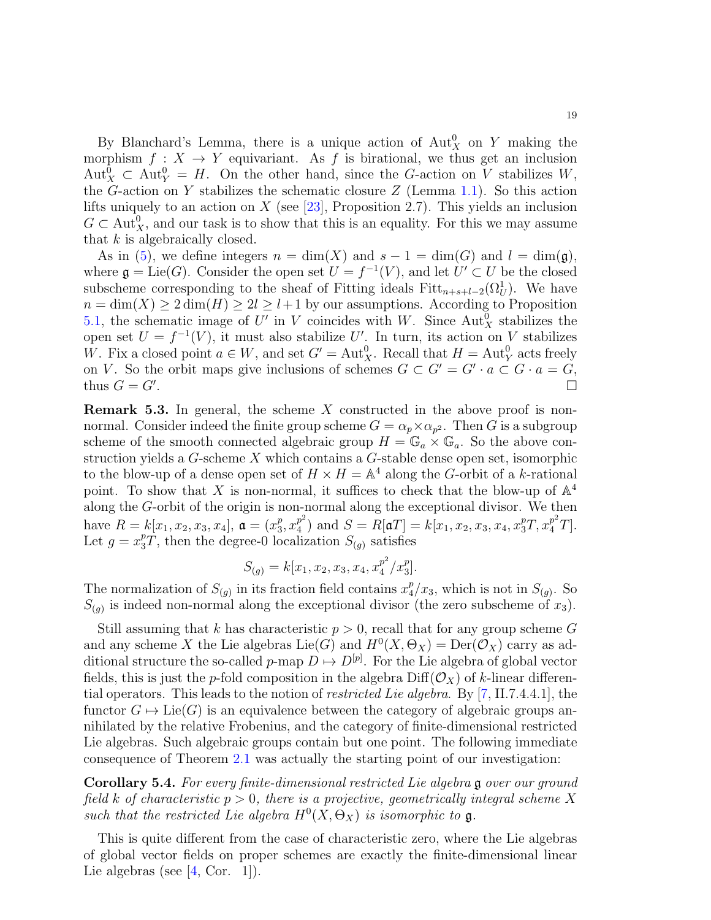By Blanchard's Lemma, there is a unique action of  $\text{Aut}^0_X$  on Y making the morphism  $f: X \to Y$  equivariant. As f is birational, we thus get an inclusion  $\text{Aut}^0_X \subset \text{Aut}^0_Y = H$ . On the other hand, since the G-action on V stabilizes W, the G-action on Y stabilizes the schematic closure  $Z$  (Lemma [1.1\)](#page-3-0). So this action lifts uniquely to an action on  $X$  (see [\[23\]](#page-19-17), Proposition 2.7). This yields an inclusion  $G \subset \text{Aut}_X^0$ , and our task is to show that this is an equality. For this we may assume that  $k$  is algebraically closed.

As in [\(5\)](#page-16-2), we define integers  $n = \dim(X)$  and  $s - 1 = \dim(G)$  and  $l = \dim(\mathfrak{g})$ , where  $\mathfrak{g} = \text{Lie}(G)$ . Consider the open set  $U = f^{-1}(V)$ , and let  $U' \subset U$  be the closed subscheme corresponding to the sheaf of Fitting ideals  $Fitt_{n+s+l-2}(\Omega_U^1)$ . We have  $n = \dim(X) \geq 2 \dim(H) \geq 2l \geq l+1$  by our assumptions. According to Proposition [5.1,](#page-16-1) the schematic image of U' in V coincides with W. Since  $\text{Aut}_X^0$  stabilizes the open set  $U = f^{-1}(V)$ , it must also stabilize U'. In turn, its action on V stabilizes W. Fix a closed point  $a \in W$ , and set  $G' = \text{Aut}_X^0$ . Recall that  $H = \text{Aut}_Y^0$  acts freely on V. So the orbit maps give inclusions of schemes  $G \subset G' = G' \cdot a \subset G \cdot a = G$ , thus  $G = G'$ . . В последните при последните последните последните последните последните последните последните последните по<br>В последните последните последните последните последните последните последните последните последните последнит

**Remark 5.3.** In general, the scheme X constructed in the above proof is nonnormal. Consider indeed the finite group scheme  $G = \alpha_p \times \alpha_{p^2}$ . Then G is a subgroup scheme of the smooth connected algebraic group  $H = \mathbb{G}_a \times \mathbb{G}_a$ . So the above construction yields a G-scheme X which contains a G-stable dense open set, isomorphic to the blow-up of a dense open set of  $H \times H = \mathbb{A}^4$  along the G-orbit of a k-rational point. To show that X is non-normal, it suffices to check that the blow-up of  $\mathbb{A}^4$ along the G-orbit of the origin is non-normal along the exceptional divisor. We then have  $R = k[x_1, x_2, x_3, x_4]$ ,  $\mathfrak{a} = (x_3^p)$  $_{3}^{p}$ ,  $x_{4}^{p^{2}}$  $\binom{p^2}{4}$  and  $S = R[\mathfrak{a}T] = k[x_1, x_2, x_3, x_4, x_3^pT, x_4^{p^2}T].$ Let  $g = x_3^p T$ , then the degree-0 localization  $S_{(g)}$  satisfies

$$
S_{(g)} = k[x_1, x_2, x_3, x_4, x_4^{p^2}/x_3^p].
$$

The normalization of  $S_{(g)}$  in its fraction field contains  $x_4^p$  $\frac{p}{4}/x_3$ , which is not in  $S_{(g)}$ . So  $S_{(g)}$  is indeed non-normal along the exceptional divisor (the zero subscheme of  $x_3$ ).

Still assuming that k has characteristic  $p > 0$ , recall that for any group scheme G and any scheme X the Lie algebras  $\text{Lie}(G)$  and  $H^0(X, \Theta_X) = \text{Der}(\mathcal{O}_X)$  carry as additional structure the so-called p-map  $D \mapsto D^{[p]}$ . For the Lie algebra of global vector fields, this is just the p-fold composition in the algebra  $\text{Diff}(\mathcal{O}_X)$  of k-linear differential operators. This leads to the notion of restricted Lie algebra. By [\[7,](#page-19-13) II.7.4.4.1], the functor  $G \mapsto \text{Lie}(G)$  is an equivalence between the category of algebraic groups annihilated by the relative Frobenius, and the category of finite-dimensional restricted Lie algebras. Such algebraic groups contain but one point. The following immediate consequence of Theorem [2.1](#page-6-1) was actually the starting point of our investigation:

Corollary 5.4. For every finite-dimensional restricted Lie algebra g over our ground field k of characteristic  $p > 0$ , there is a projective, geometrically integral scheme X such that the restricted Lie algebra  $H^0(X, \Theta_X)$  is isomorphic to **g**.

This is quite different from the case of characteristic zero, where the Lie algebras of global vector fields on proper schemes are exactly the finite-dimensional linear Lie algebras (see  $[4, \text{Cor. } 1]$ ).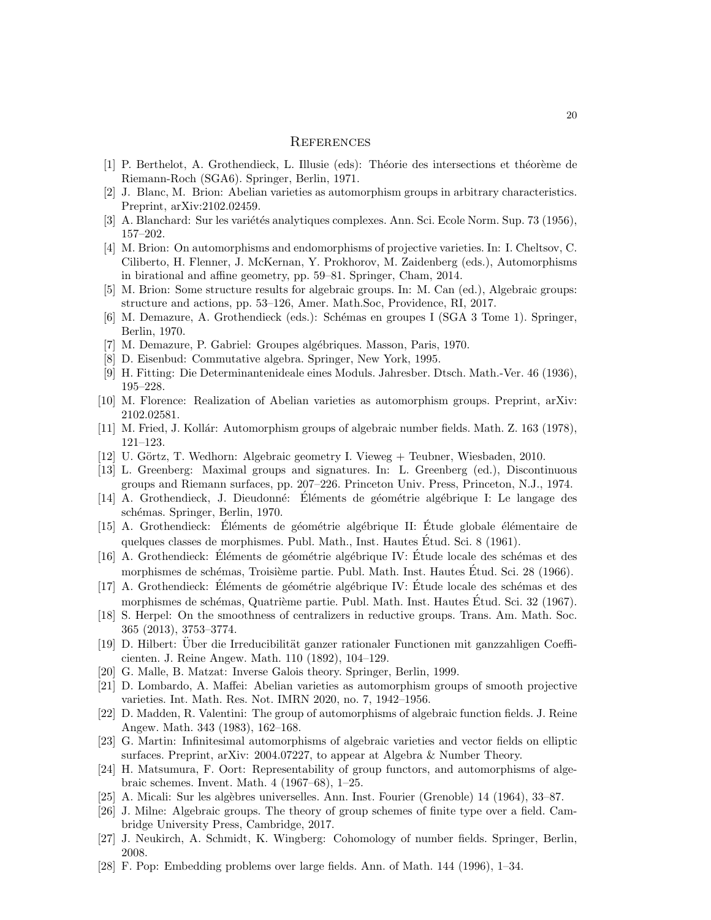# <span id="page-19-0"></span>**REFERENCES**

- <span id="page-19-24"></span>[1] P. Berthelot, A. Grothendieck, L. Illusie (eds): Théorie des intersections et théorème de Riemann-Roch (SGA6). Springer, Berlin, 1971.
- <span id="page-19-9"></span>[2] J. Blanc, M. Brion: Abelian varieties as automorphism groups in arbitrary characteristics. Preprint, arXiv:2102.02459.
- <span id="page-19-15"></span>[3] A. Blanchard: Sur les variétés analytiques complexes. Ann. Sci. Ecole Norm. Sup. 73 (1956), 157–202.
- <span id="page-19-11"></span>[4] M. Brion: On automorphisms and endomorphisms of projective varieties. In: I. Cheltsov, C. Ciliberto, H. Flenner, J. McKernan, Y. Prokhorov, M. Zaidenberg (eds.), Automorphisms in birational and affine geometry, pp. 59–81. Springer, Cham, 2014.
- <span id="page-19-16"></span>[5] M. Brion: Some structure results for algebraic groups. In: M. Can (ed.), Algebraic groups: structure and actions, pp. 53–126, Amer. Math.Soc, Providence, RI, 2017.
- <span id="page-19-12"></span>[6] M. Demazure, A. Grothendieck (eds.): Schémas en groupes I (SGA 3 Tome 1). Springer, Berlin, 1970.
- <span id="page-19-13"></span>[7] M. Demazure, P. Gabriel: Groupes algébriques. Masson, Paris, 1970.
- <span id="page-19-26"></span>[8] D. Eisenbud: Commutative algebra. Springer, New York, 1995.
- <span id="page-19-25"></span>[9] H. Fitting: Die Determinantenideale eines Moduls. Jahresber. Dtsch. Math.-Ver. 46 (1936), 195–228.
- <span id="page-19-10"></span>[10] M. Florence: Realization of Abelian varieties as automorphism groups. Preprint, arXiv: 2102.02581.
- <span id="page-19-4"></span>[11] M. Fried, J. Kollár: Automorphism groups of algebraic number fields. Math. Z. 163 (1978), 121–123.
- <span id="page-19-19"></span>[12] U. Görtz, T. Wedhorn: Algebraic geometry I. Vieweg + Teubner, Wiesbaden, 2010.
- <span id="page-19-7"></span>[13] L. Greenberg: Maximal groups and signatures. In: L. Greenberg (ed.), Discontinuous groups and Riemann surfaces, pp. 207–226. Princeton Univ. Press, Princeton, N.J., 1974.
- <span id="page-19-18"></span>[14] A. Grothendieck, J. Dieudonné: Éléments de géométrie algébrique I: Le langage des schémas. Springer, Berlin, 1970.
- <span id="page-19-28"></span>[15] A. Grothendieck: Eléments de géométrie algébrique II: Étude globale élémentaire de quelques classes de morphismes. Publ. Math., Inst. Hautes Etud. Sci. 8 (1961). ´
- <span id="page-19-20"></span>[16] A. Grothendieck: Éléments de géométrie algébrique IV: Étude locale des schémas et des morphismes de schémas, Troisième partie. Publ. Math. Inst. Hautes Étud. Sci. 28 (1966).
- <span id="page-19-21"></span>[17] A. Grothendieck: Éléments de géométrie algébrique IV: Étude locale des schémas et des morphismes de schémas, Quatrième partie. Publ. Math. Inst. Hautes Étud. Sci. 32 (1967).
- <span id="page-19-23"></span>[18] S. Herpel: On the smoothness of centralizers in reductive groups. Trans. Am. Math. Soc. 365 (2013), 3753–3774.
- <span id="page-19-1"></span>[19] D. Hilbert: Über die Irreducibilität ganzer rationaler Functionen mit ganzzahligen Coefficienten. J. Reine Angew. Math. 110 (1892), 104–129.
- <span id="page-19-3"></span>[20] G. Malle, B. Matzat: Inverse Galois theory. Springer, Berlin, 1999.
- <span id="page-19-8"></span>[21] D. Lombardo, A. Maffei: Abelian varieties as automorphism groups of smooth projective varieties. Int. Math. Res. Not. IMRN 2020, no. 7, 1942–1956.
- <span id="page-19-6"></span>[22] D. Madden, R. Valentini: The group of automorphisms of algebraic function fields. J. Reine Angew. Math. 343 (1983), 162–168.
- <span id="page-19-17"></span>[23] G. Martin: Infinitesimal automorphisms of algebraic varieties and vector fields on elliptic surfaces. Preprint, arXiv: 2004.07227, to appear at Algebra & Number Theory.
- <span id="page-19-14"></span>[24] H. Matsumura, F. Oort: Representability of group functors, and automorphisms of algebraic schemes. Invent. Math. 4 (1967–68), 1–25.
- <span id="page-19-27"></span>[25] A. Micali: Sur les alg`ebres universelles. Ann. Inst. Fourier (Grenoble) 14 (1964), 33–87.
- <span id="page-19-22"></span>[26] J. Milne: Algebraic groups. The theory of group schemes of finite type over a field. Cambridge University Press, Cambridge, 2017.
- <span id="page-19-2"></span>[27] J. Neukirch, A. Schmidt, K. Wingberg: Cohomology of number fields. Springer, Berlin, 2008.
- <span id="page-19-5"></span>[28] F. Pop: Embedding problems over large fields. Ann. of Math. 144 (1996), 1–34.